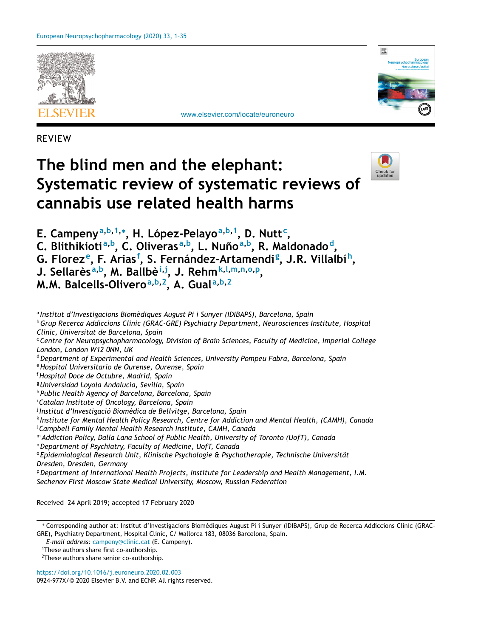

[www.elsevier.com/locate/euroneuro](http://www.elsevier.com/locate/euroneuro)



REVIEW

# **The blind men and the elephant: Systematic review of systematic reviews of cannabis use related health harms**



**E. Campenya,b,1,<sup>∗</sup> , H. López-Pelayoa,b,1, D. Nutt<sup>c</sup> ,**

**C. Blithikiotia,b, C. Oliverasa,b, L. Nuñoa,b, R. Maldonadod,**

**G. Floreze, F. Arias<sup>f</sup> , S. Fernández-Artamendi <sup>g</sup> , J.R. Villalbíh,**

**J. Sellarèsa,b, M. Ballbèi,j , J. Rehmk,l,m,n,o,p,**

**M.M. Balcells-Oliveroa,b,2, A. Guala,b,2**

<sup>a</sup> *Institut d'Investigacions Biomèdiques August Pi i Sunyer (IDIBAPS), Barcelona, Spain* <sup>b</sup>*Grup Recerca Addiccions Clinic (GRAC-GRE) Psychiatry Department, Neurosciences Institute, Hospital Clínic, Universitat de Barcelona, Spain* <sup>c</sup>*Centre for Neuropsychopharmacology, Division of Brain Sciences, Faculty of Medicine, Imperial College London, London W12 0NN, UK* <sup>d</sup>*Department of Experimental and Health Sciences, University Pompeu Fabra, Barcelona, Spain* <sup>e</sup>*Hospital Universitario de Ourense, Ourense, Spain* <sup>f</sup>*Hospital Doce de Octubre, Madrid, Spain* <sup>g</sup>*Universidad Loyola Andalucía, Sevilla, Spain* <sup>h</sup> *Public Health Agency of Barcelona, Barcelona, Spain* i *Catalan Institute of Oncology, Barcelona, Spain* <sup>j</sup> *Institut d'Investigació Biomèdica de Bellvitge, Barcelona, Spain* <sup>k</sup> *Institute for Mental Health Policy Research, Centre for Addiction and Mental Health, (CAMH), Canada* l *Campbell Family Mental Health Research Institute, CAMH, Canada* <sup>m</sup> *Addiction Policy, Dalla Lana School of Public Health, University of Toronto (UofT), Canada* <sup>n</sup>*Department of Psychiatry, Faculty of Medicine, UofT, Canada* <sup>o</sup> *Epidemiological Research Unit, Klinische Psychologie & Psychotherapie, Technische Universität Dresden, Dresden, Germany* <sup>p</sup>*Department of International Health Projects, Institute for Leadership and Health Management, I.M. Sechenov First Moscow State Medical University, Moscow, Russian Federation*

Received 24 April 2019; accepted 17 February 2020

∗ Corresponding author at: Institut d'Investigacions Biomèdiques August Pi i Sunyer (IDIBAPS), Grup de Recerca Addiccions Clínic (GRAC-GRE), Psychiatry Department, Hospital Clínic, C/ Mallorca 183, 08036 Barcelona, Spain.

*E-mail address:* [campeny@clinic.cat](mailto:campeny@clinic.cat) (E. Campeny).

1These authors share first co-authorship.

<sup>2</sup>These authors share senior co-authorship.

<https://doi.org/10.1016/j.euroneuro.2020.02.003>

0924-977X/© 2020 Elsevier B.V. and ECNP. All rights reserved.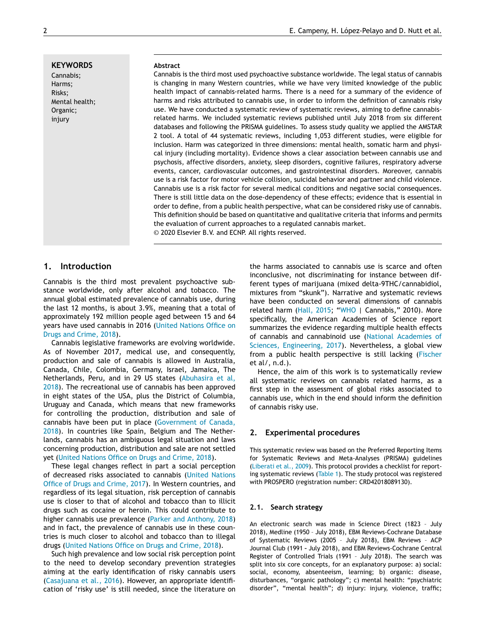**KEYWORDS** Cannabis; Harms; Risks; Mental health; Organic; injury

#### **Abstract**

Cannabis is the third most used psychoactive substance worldwide. The legal status of cannabis is changing in many Western countries, while we have very limited knowledge of the public health impact of cannabis-related harms. There is a need for a summary of the evidence of harms and risks attributed to cannabis use, in order to inform the definition of cannabis risky use. We have conducted a systematic review of systematic reviews, aiming to define cannabisrelated harms. We included systematic reviews published until July 2018 from six different databases and following the PRISMA guidelines. To assess study quality we applied the AMSTAR 2 tool. A total of 44 systematic reviews, including 1,053 different studies, were eligible for inclusion. Harm was categorized in three dimensions: mental health, somatic harm and physical injury (including mortality). Evidence shows a clear association between cannabis use and psychosis, affective disorders, anxiety, sleep disorders, cognitive failures, respiratory adverse events, cancer, cardiovascular outcomes, and gastrointestinal disorders. Moreover, cannabis use is a risk factor for motor vehicle collision, suicidal behavior and partner and child violence. Cannabis use is a risk factor for several medical conditions and negative social consequences. There is still little data on the dose-dependency of these effects; evidence that is essential in order to define, from a public health perspective, what can be considered risky use of cannabis. This definition should be based on quantitative and qualitative criteria that informs and permits the evaluation of current approaches to a regulated cannabis market. © 2020 Elsevier B.V. and ECNP. All rights reserved.

## **1. Introduction**

Cannabis is the third most prevalent psychoactive substance worldwide, only after alcohol and tobacco. The annual global estimated prevalence of cannabis use, during the last 12 months, is about 3.9%, meaning that a total of approximately 192 million people aged between 15 and 64 years have used [cannabis](#page-33-0) in 2016 (United Nations Office on Drugs and Crime, 2018).

Cannabis legislative frameworks are evolving worldwide. As of November 2017, medical use, and consequently, production and sale of cannabis is allowed in Australia, Canada, Chile, Colombia, Germany, Israel, Jamaica, The [Netherlands,](#page-31-0) Peru, and in 29 US states (Abuhasira et al, 2018). The recreational use of cannabis has been approved in eight states of the USA, plus the District of Columbia, Uruguay and Canada, which means that new frameworks for controlling the production, distribution and sale of cannabis have been put in place [\(Government](#page-32-0) of Canada, 2018). In countries like Spain, Belgium and The Netherlands, cannabis has an ambiguous legal situation and laws concerning production, distribution and sale are not settled yet (United [Nations](#page-33-0) Office on Drugs and Crime, 2018).

These legal changes reflect in part a social perception of decreased risks [associated](#page-33-0) to cannabis (United Nations Office of Drugs and Crime, 2017). In Western countries, and regardless of its legal situation, risk perception of cannabis use is closer to that of alcohol and tobacco than to illicit drugs such as cocaine or heroin. This could contribute to higher cannabis use prevalence (Parker and [Anthony,](#page-33-0) 2018) and in fact, the prevalence of cannabis use in these countries is much closer to alcohol and tobacco than to illegal drugs (United [Nations](#page-33-0) Office on Drugs and Crime, 2018).

Such high prevalence and low social risk perception point to the need to develop secondary prevention strategies aiming at the early identification of risky cannabis users [\(Casajuana](#page-31-0) et al., 2016). However, an appropriate identification of 'risky use' is still needed, since the literature on

the harms associated to cannabis use is scarce and often inconclusive, not discriminating for instance between different types of marijuana (mixed delta-9THC/cannabidiol, mixtures from "skunk"). Narrative and systematic reviews have been conducted on several dimensions of cannabis related harm [\(Hall,](#page-32-0) 2015; ["WHO](#page-34-0) | Cannabis," 2010). More specifically, the American Academies of Science report summarizes the evidence regarding multiple health effects of cannabis and cannabinoid use (National Academies of Sciences, Engineering, 2017). [Nevertheless,](#page-33-0) a global view from a public health perspective is still lacking [\(Fischer](#page-32-0) et al/, n.d.).

Hence, the aim of this work is to systematically review all systematic reviews on cannabis related harms, as a first step in the assessment of global risks associated to cannabis use, which in the end should inform the definition of cannabis risky use.

#### **2. Experimental procedures**

This systematic review was based on the Preferred Reporting Items for Systematic Reviews and Meta-Analyses (PRISMA) guidelines [\(Liberati](#page-32-0) et al., 2009). This protocol provides a checklist for reporting systematic reviews [\(Table](#page-2-0) 1). The study protocol was registered with PROSPERO (registration number: CRD42018089130).

#### **2.1. Search strategy**

An electronic search was made in Science Direct (1823 – July 2018), Medline (1950 – July 2018), EBM Reviews-Cochrane Database of Systematic Reviews (2005 – July 2018), EBM Reviews – ACP Journal Club (1991 **–** July 2018), and EBM Reviews-Cochrane Central Register of Controlled Trials (1991 – July 2018). The search was split into six core concepts, for an explanatory purpose: a) social: social, economy, absenteeism, learning; b) organic: disease, disturbances, "organic pathology"; c) mental health: "psychiatric disorder", "mental health"; d) injury: injury, violence, traffic;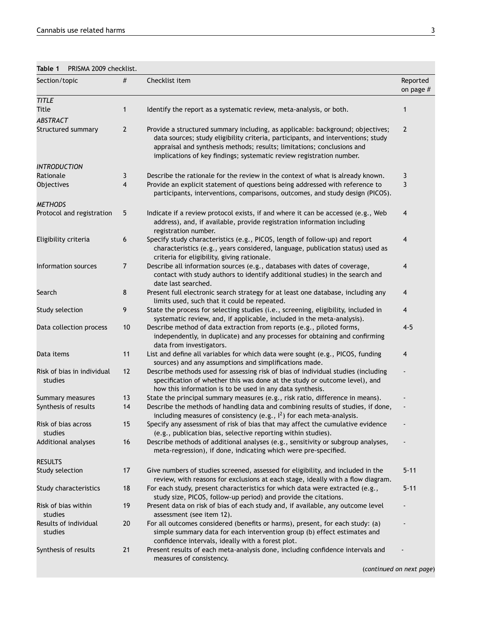<span id="page-2-0"></span>

| Table 1 PRISMA 2009 checklist. |
|--------------------------------|
|                                |

| Section/topic                         | $\#$           | Checklist item                                                                                                                                                                                                                                                                                                       | Reported<br>on page # |
|---------------------------------------|----------------|----------------------------------------------------------------------------------------------------------------------------------------------------------------------------------------------------------------------------------------------------------------------------------------------------------------------|-----------------------|
| <b>TITLE</b>                          |                |                                                                                                                                                                                                                                                                                                                      |                       |
| <b>Title</b>                          | $\mathbf{1}$   | Identify the report as a systematic review, meta-analysis, or both.                                                                                                                                                                                                                                                  | 1                     |
| <b>ABSTRACT</b>                       |                |                                                                                                                                                                                                                                                                                                                      |                       |
| Structured summary                    | $\overline{2}$ | Provide a structured summary including, as applicable: background; objectives;<br>data sources; study eligibility criteria, participants, and interventions; study<br>appraisal and synthesis methods; results; limitations; conclusions and<br>implications of key findings; systematic review registration number. | $\overline{2}$        |
| <b>INTRODUCTION</b>                   |                |                                                                                                                                                                                                                                                                                                                      |                       |
| Rationale                             | 3              | Describe the rationale for the review in the context of what is already known.                                                                                                                                                                                                                                       | 3                     |
| Objectives                            | 4              | Provide an explicit statement of questions being addressed with reference to<br>participants, interventions, comparisons, outcomes, and study design (PICOS).                                                                                                                                                        | 3                     |
| <b>METHODS</b>                        |                |                                                                                                                                                                                                                                                                                                                      |                       |
| Protocol and registration             | 5              | Indicate if a review protocol exists, if and where it can be accessed (e.g., Web<br>address), and, if available, provide registration information including<br>registration number.                                                                                                                                  | 4                     |
| Eligibility criteria                  | 6              | Specify study characteristics (e.g., PICOS, length of follow-up) and report<br>characteristics (e.g., years considered, language, publication status) used as<br>criteria for eligibility, giving rationale.                                                                                                         | 4                     |
| Information sources                   | $\overline{7}$ | Describe all information sources (e.g., databases with dates of coverage,<br>contact with study authors to identify additional studies) in the search and<br>date last searched.                                                                                                                                     | 4                     |
| Search                                | 8              | Present full electronic search strategy for at least one database, including any<br>limits used, such that it could be repeated.                                                                                                                                                                                     | 4                     |
| Study selection                       | 9              | State the process for selecting studies (i.e., screening, eligibility, included in<br>systematic review, and, if applicable, included in the meta-analysis).                                                                                                                                                         | 4                     |
| Data collection process               | 10             | Describe method of data extraction from reports (e.g., piloted forms,<br>independently, in duplicate) and any processes for obtaining and confirming<br>data from investigators.                                                                                                                                     | $4 - 5$               |
| Data items                            | 11             | List and define all variables for which data were sought (e.g., PICOS, funding<br>sources) and any assumptions and simplifications made.                                                                                                                                                                             | 4                     |
| Risk of bias in individual<br>studies | 12             | Describe methods used for assessing risk of bias of individual studies (including<br>specification of whether this was done at the study or outcome level), and<br>how this information is to be used in any data synthesis.                                                                                         |                       |
| Summary measures                      | 13             | State the principal summary measures (e.g., risk ratio, difference in means).                                                                                                                                                                                                                                        |                       |
| Synthesis of results                  | 14             | Describe the methods of handling data and combining results of studies, if done,<br>including measures of consistency (e.g., $I^2$ ) for each meta-analysis.                                                                                                                                                         |                       |
| Risk of bias across<br>studies        | 15             | Specify any assessment of risk of bias that may affect the cumulative evidence<br>(e.g., publication bias, selective reporting within studies).                                                                                                                                                                      |                       |
| Additional analyses                   | 16             | Describe methods of additional analyses (e.g., sensitivity or subgroup analyses,<br>meta-regression), if done, indicating which were pre-specified.                                                                                                                                                                  |                       |
| <b>RESULTS</b>                        |                |                                                                                                                                                                                                                                                                                                                      |                       |
| Study selection                       | 17             | Give numbers of studies screened, assessed for eligibility, and included in the<br>review, with reasons for exclusions at each stage, ideally with a flow diagram.                                                                                                                                                   | $5 - 11$              |
| Study characteristics                 | 18             | For each study, present characteristics for which data were extracted (e.g.,<br>study size, PICOS, follow-up period) and provide the citations.                                                                                                                                                                      | $5 - 11$              |
| Risk of bias within<br>studies        | 19             | Present data on risk of bias of each study and, if available, any outcome level<br>assessment (see item 12).                                                                                                                                                                                                         |                       |
| Results of individual<br>studies      | 20             | For all outcomes considered (benefits or harms), present, for each study: (a)<br>simple summary data for each intervention group (b) effect estimates and<br>confidence intervals, ideally with a forest plot.                                                                                                       |                       |
| Synthesis of results                  | 21             | Present results of each meta-analysis done, including confidence intervals and<br>measures of consistency.                                                                                                                                                                                                           |                       |

(*continued on next page*)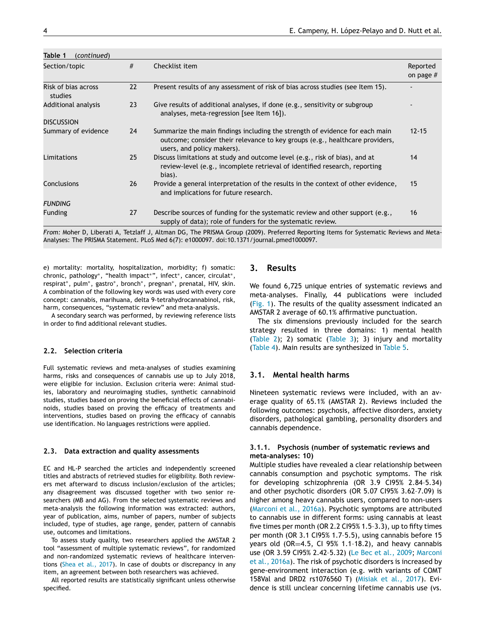| Table 1<br>(continued)         |    |                                                                                                                                                                                            |                         |
|--------------------------------|----|--------------------------------------------------------------------------------------------------------------------------------------------------------------------------------------------|-------------------------|
| Section/topic                  | #  | Checklist item                                                                                                                                                                             | Reported<br>on page $#$ |
| Risk of bias across<br>studies | 22 | Present results of any assessment of risk of bias across studies (see Item 15).                                                                                                            |                         |
| Additional analysis            | 23 | Give results of additional analyses, if done (e.g., sensitivity or subgroup<br>analyses, meta-regression [see Item 16]).                                                                   |                         |
| <b>DISCUSSION</b>              |    |                                                                                                                                                                                            |                         |
| Summary of evidence            | 24 | Summarize the main findings including the strength of evidence for each main<br>outcome; consider their relevance to key groups (e.g., healthcare providers,<br>users, and policy makers). | $12 - 15$               |
| Limitations                    | 25 | Discuss limitations at study and outcome level (e.g., risk of bias), and at<br>review-level (e.g., incomplete retrieval of identified research, reporting<br>bias).                        | 14                      |
| Conclusions                    | 26 | Provide a general interpretation of the results in the context of other evidence,<br>and implications for future research.                                                                 | 15                      |
| <b>FUNDING</b>                 |    |                                                                                                                                                                                            |                         |
| <b>Funding</b>                 | 27 | Describe sources of funding for the systematic review and other support (e.g.,<br>supply of data); role of funders for the systematic review.                                              | 16                      |

*From:* Moher D, Liberati A, Tetzlaff J, Altman DG, The PRISMA Group (2009). Preferred Reporting Items for Systematic Reviews and Meta-Analyses: The PRISMA Statement. PLoS Med 6(7): e1000097. doi:10.1371/journal.pmed1000097.

e) mortality: mortality, hospitalization, morbidity; f) somatic: chronic, pathology∗, "health impact∗", infect∗, cancer, circulat∗, respirat∗, pulm∗, gastro∗, bronch∗, pregnan∗, prenatal, HIV, skin. A combination of the following key words was used with every core concept: cannabis, marihuana, delta 9-tetrahydrocannabinol, risk, harm, consequences, "systematic review" and meta-analysis.

A secondary search was performed, by reviewing reference lists in order to find additional relevant studies.

#### **2.2. Selection criteria**

Full systematic reviews and meta-analyses of studies examining harms, risks and consequences of cannabis use up to July 2018, were eligible for inclusion. Exclusion criteria were: Animal studies, laboratory and neuroimaging studies, synthetic cannabinoid studies, studies based on proving the beneficial effects of cannabinoids, studies based on proving the efficacy of treatments and interventions, studies based on proving the efficacy of cannabis use identification. No languages restrictions were applied.

#### **2.3. Data extraction and quality assessments**

EC and HL-P searched the articles and independently screened titles and abstracts of retrieved studies for eligibility. Both reviewers met afterward to discuss inclusion/exclusion of the articles; any disagreement was discussed together with two senior researchers (MB and AG). From the selected systematic reviews and meta-analysis the following information was extracted: authors, year of publication, aims, number of papers, number of subjects included, type of studies, age range, gender, pattern of cannabis use, outcomes and limitations.

To assess study quality, two researchers applied the AMSTAR 2 tool "assessment of multiple systematic reviews", for randomized and non-randomized systematic reviews of healthcare interventions [\(Shea](#page-33-0) et al., 2017). In case of doubts or discrepancy in any item, an agreement between both researchers was achieved.

All reported results are statistically significant unless otherwise specified.

## **3. Results**

We found 6,725 unique entries of systematic reviews and meta-analyses. Finally, 44 publications were included [\(Fig.](#page-19-0) 1). The results of the quality assessment indicated an AMSTAR 2 average of 60.1% affirmative punctuation.

The six dimensions previously included for the search strategy resulted in three domains: 1) mental health [\(Table](#page-4-0) 2); 2) somatic [\(Table](#page-11-0) 3); 3) injury and mortality [\(Table](#page-20-0) 4). Main results are synthesized in [Table](#page-24-0) 5.

#### **3.1. Mental health harms**

Nineteen systematic reviews were included, with an average quality of 65.1% (AMSTAR 2). Reviews included the following outcomes: psychosis, affective disorders, anxiety disorders, pathological gambling, personality disorders and cannabis dependence.

#### **3.1.1. Psychosis (number of systematic reviews and meta-analyses: 10)**

Multiple studies have revealed a clear relationship between cannabis consumption and psychotic symptoms. The risk for developing schizophrenia (OR 3.9 CI95% 2.84–5.34) and other psychotic disorders (OR 5.07 CI95% 3.62–7.09) is higher among heavy cannabis users, compared to non-users [\(Marconi](#page-33-0) et al., 2016a). Psychotic symptoms are attributed to cannabis use in different forms: using cannabis at least five times per month (OR 2.2 CI95% 1.5–3.3), up to fifty times per month (OR 3.1 CI95% 1.7–5.5), using cannabis before 15 years old (OR=4.5, CI 95% 1.1-18.2), and heavy cannabis use (OR 3.59 CI95% [2.42–5.32\)](#page-33-0) (Le Bec et al., [2009;](#page-32-0) Marconi et al., 2016a). The risk of psychotic disorders is increased by gene-environment interaction (e.g. with variants of COMT 158Val and DRD2 rs1076560 T) [\(Misiak](#page-33-0) et al., 2017). Evidence is still unclear concerning lifetime cannabis use (vs.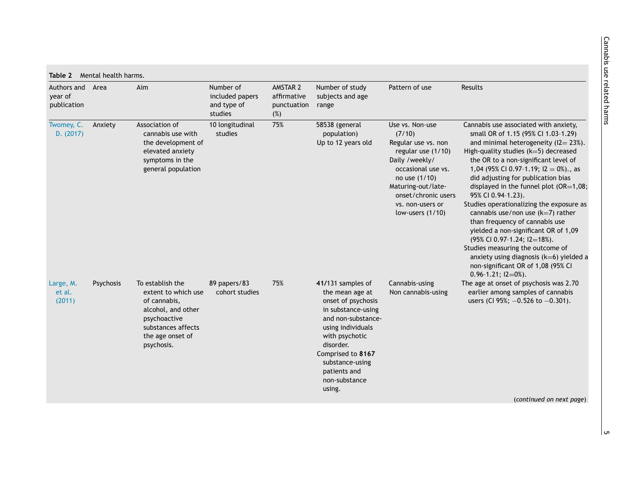<span id="page-4-0"></span>

| 75%<br>Association of<br>Twomey, C.<br>Anxiety<br>10 longitudinal<br>58538 (general<br>D. (2017)<br>cannabis use with<br>studies<br>(7/10)<br>population)<br>Up to 12 years old<br>the development of<br>elevated anxiety<br>symptoms in the<br>general population<br>75%<br>To establish the<br>89 papers/83<br>41/131 samples of<br>Psychosis<br>Large, M.<br>cohort studies<br>et al.<br>extent to which use<br>the mean age at<br>onset of psychosis<br>(2011)<br>of cannabis,<br>in substance-using<br>alcohol, and other<br>psychoactive<br>and non-substance-<br>substances affects<br>using individuals<br>the age onset of<br>with psychotic<br>disorder.<br>psychosis.<br>Comprised to 8167 | Authors and Area | Aim | Number of<br>included papers<br>and type of<br>studies | AMSTAR 2<br>affirmative<br>punctuation<br>(%) | Number of study<br>subjects and age<br>range | Pattern of use                                                                                                                                                                                               | Results                                                                                                                                                                                                                                                                                                                                                                                                                                                                                                                                                                                                                                                                                                           |
|-------------------------------------------------------------------------------------------------------------------------------------------------------------------------------------------------------------------------------------------------------------------------------------------------------------------------------------------------------------------------------------------------------------------------------------------------------------------------------------------------------------------------------------------------------------------------------------------------------------------------------------------------------------------------------------------------------|------------------|-----|--------------------------------------------------------|-----------------------------------------------|----------------------------------------------|--------------------------------------------------------------------------------------------------------------------------------------------------------------------------------------------------------------|-------------------------------------------------------------------------------------------------------------------------------------------------------------------------------------------------------------------------------------------------------------------------------------------------------------------------------------------------------------------------------------------------------------------------------------------------------------------------------------------------------------------------------------------------------------------------------------------------------------------------------------------------------------------------------------------------------------------|
|                                                                                                                                                                                                                                                                                                                                                                                                                                                                                                                                                                                                                                                                                                       |                  |     |                                                        |                                               |                                              | Use vs. Non-use<br>Regular use vs. non<br>regular use (1/10)<br>Daily /weekly/<br>occasional use vs.<br>no use (1/10)<br>Maturing-out/late-<br>onset/chronic users<br>vs. non-users or<br>low-users $(1/10)$ | Cannabis use associated with anxiety,<br>small OR of 1.15 (95% CI 1.03-1.29)<br>and minimal heterogeneity ( $12 = 23\%$ ).<br>High-quality studies (k=5) decreased<br>the OR to a non-significant level of<br>1,04 (95% CI 0.97-1.19; $12 = 0\%$ )., as<br>did adjusting for publication bias<br>displayed in the funnel plot (OR=1,08;<br>95% CI 0.94-1.23).<br>Studies operationalizing the exposure as<br>cannabis use/non use $(k=7)$ rather<br>than frequency of cannabis use<br>yielded a non-significant OR of 1,09<br>(95% CI 0.97-1.24; I2=18%).<br>Studies measuring the outcome of<br>anxiety using diagnosis $(k=6)$ yielded a<br>non-significant OR of 1,08 (95% CI<br>$0.96 - 1.21$ ; $12 = 0\%$ ). |
| patients and<br>non-substance<br>using.                                                                                                                                                                                                                                                                                                                                                                                                                                                                                                                                                                                                                                                               |                  |     |                                                        |                                               | substance-using                              | Cannabis-using<br>Non cannabis-using                                                                                                                                                                         | The age at onset of psychosis was 2.70<br>earlier among samples of cannabis<br>users (CI 95%; $-0.526$ to $-0.301$ ).                                                                                                                                                                                                                                                                                                                                                                                                                                                                                                                                                                                             |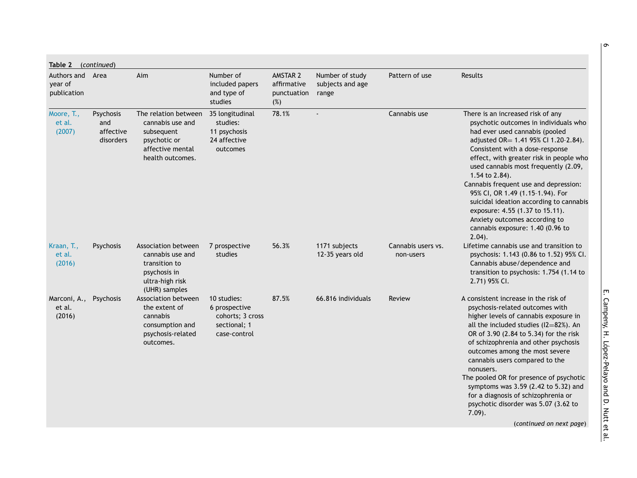| Table 2 (continued)                        |                                            |                                                                                                                |                                                                                  |                                               |                                              |                                 |                                                                                                                                                                                                                                                                                                                                                                                                                                                                                                                                            |
|--------------------------------------------|--------------------------------------------|----------------------------------------------------------------------------------------------------------------|----------------------------------------------------------------------------------|-----------------------------------------------|----------------------------------------------|---------------------------------|--------------------------------------------------------------------------------------------------------------------------------------------------------------------------------------------------------------------------------------------------------------------------------------------------------------------------------------------------------------------------------------------------------------------------------------------------------------------------------------------------------------------------------------------|
| Authors and Area<br>year of<br>publication |                                            | Aim                                                                                                            | Number of<br>included papers<br>and type of<br>studies                           | AMSTAR 2<br>affirmative<br>punctuation<br>(%) | Number of study<br>subjects and age<br>range | Pattern of use                  | Results                                                                                                                                                                                                                                                                                                                                                                                                                                                                                                                                    |
| Moore, T.,<br>et al.<br>(2007)             | Psychosis<br>and<br>affective<br>disorders | The relation between<br>cannabis use and<br>subsequent<br>psychotic or<br>affective mental<br>health outcomes. | 35 longitudinal<br>studies:<br>11 psychosis<br>24 affective<br>outcomes          | 78.1%                                         |                                              | Cannabis use                    | There is an increased risk of any<br>psychotic outcomes in individuals who<br>had ever used cannabis (pooled<br>adjusted OR= 1.41 95% CI 1.20-2.84).<br>Consistent with a dose-response<br>effect, with greater risk in people who<br>used cannabis most frequently (2.09,<br>1.54 to 2.84).<br>Cannabis frequent use and depression:<br>95% CI, OR 1.49 (1.15-1.94). For<br>suicidal ideation according to cannabis<br>exposure: 4.55 (1.37 to 15.11).<br>Anxiety outcomes according to<br>cannabis exposure: 1.40 (0.96 to<br>$2.04$ ).  |
| Kraan, T.,<br>et al.<br>(2016)             | <b>Psychosis</b>                           | Association between<br>cannabis use and<br>transition to<br>psychosis in<br>ultra-high risk<br>(UHR) samples   | 7 prospective<br>studies                                                         | 56.3%                                         | 1171 subjects<br>12-35 years old             | Cannabis users vs.<br>non-users | Lifetime cannabis use and transition to<br>psychosis: 1.143 (0.86 to 1.52) 95% CI.<br>Cannabis abuse/dependence and<br>transition to psychosis: 1.754 (1.14 to<br>2.71) 95% CI.                                                                                                                                                                                                                                                                                                                                                            |
| Marconi, A.,<br>et al.<br>(2016)           | Psychosis                                  | Association between<br>the extent of<br>cannabis<br>consumption and<br>psychosis-related<br>outcomes.          | 10 studies:<br>6 prospective<br>cohorts; 3 cross<br>sectional; 1<br>case-control | 87.5%                                         | 66.816 individuals                           | Review                          | A consistent increase in the risk of<br>psychosis-related outcomes with<br>higher levels of cannabis exposure in<br>all the included studies $(12=82%)$ . An<br>OR of 3.90 (2.84 to 5.34) for the risk<br>of schizophrenia and other psychosis<br>outcomes among the most severe<br>cannabis users compared to the<br>nonusers.<br>The pooled OR for presence of psychotic<br>symptoms was 3.59 (2.42 to 5.32) and<br>for a diagnosis of schizophrenia or<br>psychotic disorder was 5.07 (3.62 to<br>$7.09$ ).<br>(continued on next page) |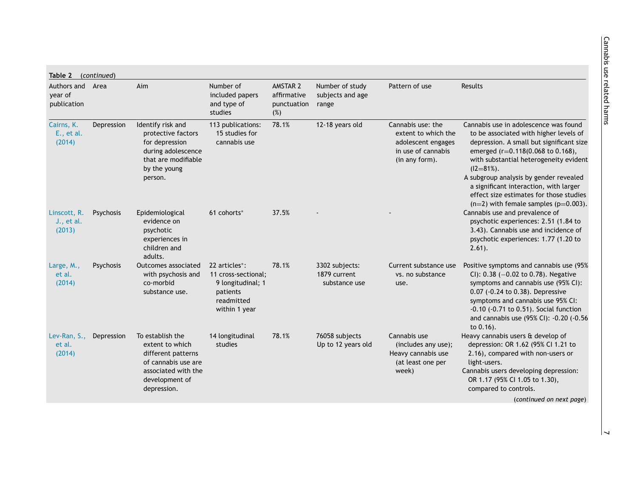| Authors and<br>year of<br>publication | Area       | Aim                                                                                                                                      | Number of<br>included papers<br>and type of<br>studies                                                            | AMSTAR 2<br>affirmative<br>punctuation<br>(%) | Number of study<br>subjects and age<br>range    | Pattern of use                                                                                         | <b>Results</b>                                                                                                                                                                                                                                                                                                                                                                                            |
|---------------------------------------|------------|------------------------------------------------------------------------------------------------------------------------------------------|-------------------------------------------------------------------------------------------------------------------|-----------------------------------------------|-------------------------------------------------|--------------------------------------------------------------------------------------------------------|-----------------------------------------------------------------------------------------------------------------------------------------------------------------------------------------------------------------------------------------------------------------------------------------------------------------------------------------------------------------------------------------------------------|
| Cairns, K.<br>E., et al.<br>(2014)    | Depression | Identify risk and<br>protective factors<br>for depression<br>during adolescence<br>that are modifiable<br>by the young<br>person.        | 113 publications:<br>15 studies for<br>cannabis use                                                               | 78.1%                                         | 12-18 years old                                 | Cannabis use: the<br>extent to which the<br>adolescent engages<br>in use of cannabis<br>(in any form). | Cannabis use in adolescence was found<br>to be associated with higher levels of<br>depression. A small but significant size<br>emerged (r=0.118(0.068 to 0.168),<br>with substantial heterogeneity evident<br>$(12 = 81\%)$ .<br>A subgroup analysis by gender revealed<br>a significant interaction, with larger<br>effect size estimates for those studies<br>$(n=2)$ with female samples $(p=0.003)$ . |
| Linscott, R.<br>J., et al.<br>(2013)  | Psychosis  | Epidemiological<br>evidence on<br>psychotic<br>experiences in<br>children and<br>adults.                                                 | 61 cohorts*                                                                                                       | 37.5%                                         |                                                 |                                                                                                        | Cannabis use and prevalence of<br>psychotic experiences: 2.51 (1.84 to<br>3.43). Cannabis use and incidence of<br>psychotic experiences: 1.77 (1.20 to<br>$2.61$ ).                                                                                                                                                                                                                                       |
| Large, M.,<br>et al.<br>(2014)        | Psychosis  | Outcomes associated<br>with psychosis and<br>co-morbid<br>substance use.                                                                 | 22 articles <sup>*</sup> :<br>11 cross-sectional;<br>9 longitudinal; 1<br>patients<br>readmitted<br>within 1 year | 78.1%                                         | 3302 subjects:<br>1879 current<br>substance use | Current substance use<br>vs. no substance<br>use.                                                      | Positive symptoms and cannabis use (95%<br>CI): $0.38$ (-0.02 to 0.78). Negative<br>symptoms and cannabis use (95% CI):<br>0.07 (-0.24 to 0.38). Depressive<br>symptoms and cannabis use 95% CI:<br>$-0.10$ $(-0.71$ to $0.51)$ . Social function<br>and cannabis use (95% CI): -0.20 (-0.56<br>to 0.16).                                                                                                 |
| Lev-Ran, S.,<br>et al.<br>(2014)      | Depression | To establish the<br>extent to which<br>different patterns<br>of cannabis use are<br>associated with the<br>development of<br>depression. | 14 longitudinal<br>studies                                                                                        | 78.1%                                         | 76058 subjects<br>Up to 12 years old            | Cannabis use<br>(includes any use);<br>Heavy cannabis use<br>(at least one per<br>week)                | Heavy cannabis users & develop of<br>depression: OR 1.62 (95% Cl 1.21 to<br>2.16), compared with non-users or<br>light-users.<br>Cannabis users developing depression:<br>OR 1.17 (95% CI 1.05 to 1.30),<br>compared to controls.<br>(continued on next page)                                                                                                                                             |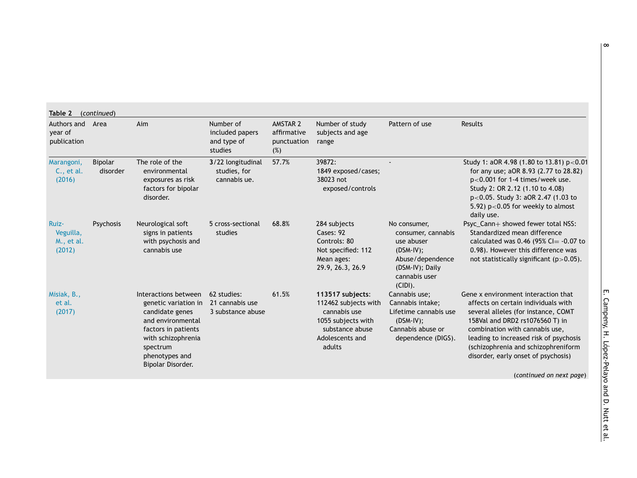| year of<br>publication                     | Authors and Area    | Aim                                                                                                                                                                                  | Number of<br>included papers<br>and type of<br>studies | AMSTAR 2<br>affirmative<br>punctuation<br>(%) | Number of study<br>subjects and age<br>range                                                                                   | Pattern of use                                                                                                                        | Results                                                                                                                                                                                                                                                                                                                                    |
|--------------------------------------------|---------------------|--------------------------------------------------------------------------------------------------------------------------------------------------------------------------------------|--------------------------------------------------------|-----------------------------------------------|--------------------------------------------------------------------------------------------------------------------------------|---------------------------------------------------------------------------------------------------------------------------------------|--------------------------------------------------------------------------------------------------------------------------------------------------------------------------------------------------------------------------------------------------------------------------------------------------------------------------------------------|
| Marangoni,<br>C., et al.<br>(2016)         | Bipolar<br>disorder | The role of the<br>environmental<br>exposures as risk<br>factors for bipolar<br>disorder.                                                                                            | 3/22 longitudinal<br>studies, for<br>cannabis ue.      | 57.7%                                         | 39872:<br>1849 exposed/cases;<br>38023 not<br>exposed/controls                                                                 |                                                                                                                                       | Study 1: aOR 4.98 (1.80 to 13.81) p<0.01<br>for any use; aOR 8.93 (2.77 to 28.82)<br>p<0.001 for 1-4 times/week use.<br>Study 2: OR 2.12 (1.10 to 4.08)<br>p<0.05. Study 3: aOR 2.47 (1.03 to<br>5.92) $p<0.05$ for weekly to almost<br>daily use.                                                                                         |
| Ruiz-<br>Veguilla,<br>M., et al.<br>(2012) | Psychosis           | Neurological soft<br>signs in patients<br>with psychosis and<br>cannabis use                                                                                                         | 5 cross-sectional<br>studies                           | 68.8%                                         | 284 subjects<br>Cases: 92<br>Controls: 80<br>Not specified: 112<br>Mean ages:<br>29.9, 26.3, 26.9                              | No consumer,<br>consumer, cannabis<br>use abuser<br>$(DSM-IV);$<br>Abuse/dependence<br>(DSM-IV); Daily<br>cannabis user<br>$(CIDI)$ . | Psyc_Cann+ showed fewer total NSS:<br>Standardized mean difference<br>calculated was 0.46 (95% Cl= -0.07 to<br>0.98). However this difference was<br>not statistically significant $(p>0.05)$ .                                                                                                                                            |
| Misiak, B.,<br>et al.<br>(2017)            |                     | Interactions between<br>genetic variation in<br>candidate genes<br>and environmental<br>factors in patients<br>with schizophrenia<br>spectrum<br>phenotypes and<br>Bipolar Disorder. | 62 studies:<br>21 cannabis use<br>3 substance abuse    | 61.5%                                         | 113517 subjects:<br>112462 subjects with<br>cannabis use<br>1055 subjects with<br>substance abuse<br>Adolescents and<br>adults | Cannabis use;<br>Cannabis intake;<br>Lifetime cannabis use<br>$(DSM-IV);$<br>Cannabis abuse or<br>dependence (DIGS).                  | Gene x environment interaction that<br>affects on certain individuals with<br>several alleles (for instance, COMT<br>158Val and DRD2 rs1076560 T) in<br>combination with cannabis use,<br>leading to increased risk of psychosis<br>(schizophrenia and schizophreniform<br>disorder, early onset of psychosis)<br>(continued on next page) |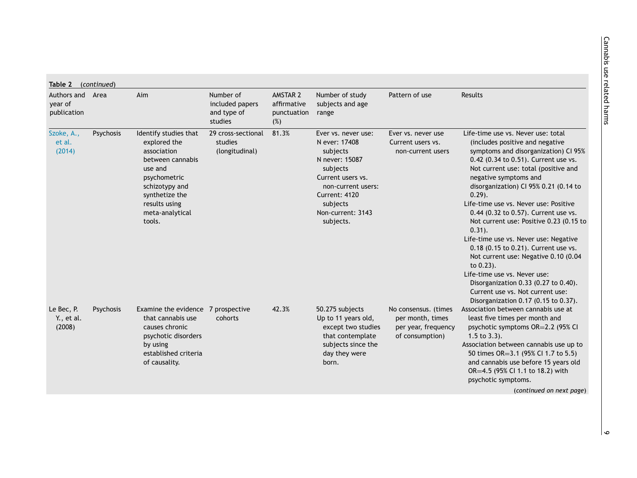| Authors and Area<br>year of<br>publication |           | Aim                                                                                                                                                                                   | Number of<br>included papers<br>and type of     | AMSTAR 2<br>affirmative<br>punctuation | Number of study<br>subjects and age<br>range                                                                                                                                             | Pattern of use                                                                     | <b>Results</b>                                                                                                                                                                                                                                                                                                                                                                                                                                                                                                                                                                                                                                                          |
|--------------------------------------------|-----------|---------------------------------------------------------------------------------------------------------------------------------------------------------------------------------------|-------------------------------------------------|----------------------------------------|------------------------------------------------------------------------------------------------------------------------------------------------------------------------------------------|------------------------------------------------------------------------------------|-------------------------------------------------------------------------------------------------------------------------------------------------------------------------------------------------------------------------------------------------------------------------------------------------------------------------------------------------------------------------------------------------------------------------------------------------------------------------------------------------------------------------------------------------------------------------------------------------------------------------------------------------------------------------|
|                                            |           |                                                                                                                                                                                       | studies                                         | (%)                                    |                                                                                                                                                                                          |                                                                                    |                                                                                                                                                                                                                                                                                                                                                                                                                                                                                                                                                                                                                                                                         |
| Szoke, A.,<br>et al.<br>(2014)             | Psychosis | Identify studies that<br>explored the<br>association<br>between cannabis<br>use and<br>psychometric<br>schizotypy and<br>synthetize the<br>results using<br>meta-analytical<br>tools. | 29 cross-sectional<br>studies<br>(longitudinal) | 81.3%                                  | Ever vs. never use:<br>N ever: 17408<br>subjects<br>N never: 15087<br>subjects<br>Current users vs.<br>non-current users:<br>Current: 4120<br>subjects<br>Non-current: 3143<br>subjects. | Ever vs. never use<br>Current users vs.<br>non-current users                       | Life-time use vs. Never use: total<br>(includes positive and negative<br>symptoms and disorganization) CI 95%<br>0.42 (0.34 to 0.51). Current use vs.<br>Not current use: total (positive and<br>negative symptoms and<br>disorganization) CI 95% 0.21 (0.14 to<br>$0.29$ ).<br>Life-time use vs. Never use: Positive<br>0.44 (0.32 to 0.57). Current use vs.<br>Not current use: Positive 0.23 (0.15 to<br>$0.31$ ).<br>Life-time use vs. Never use: Negative<br>0.18 (0.15 to 0.21). Current use vs.<br>Not current use: Negative 0.10 (0.04<br>to 0.23).<br>Life-time use vs. Never use:<br>Disorganization 0.33 (0.27 to 0.40).<br>Current use vs. Not current use: |
| Le Bec, P.<br>Y., et al.<br>(2008)         | Psychosis | Examine the evidence 7 prospective<br>that cannabis use<br>causes chronic<br>psychotic disorders<br>by using<br>established criteria<br>of causality.                                 | cohorts                                         | 42.3%                                  | 50.275 subjects<br>Up to 11 years old,<br>except two studies<br>that contemplate<br>subjects since the<br>day they were<br>born.                                                         | No consensus. (times<br>per month, times<br>per year, frequency<br>of consumption) | Disorganization 0.17 (0.15 to 0.37).<br>Association between cannabis use at<br>least five times per month and<br>psychotic symptoms OR=2.2 (95% CI<br>$1.5$ to $3.3$ ).<br>Association between cannabis use up to<br>50 times OR=3.1 (95% CI 1.7 to 5.5)<br>and cannabis use before 15 years old<br>OR=4.5 (95% CI 1.1 to 18.2) with<br>psychotic symptoms.<br>(continued on next page)                                                                                                                                                                                                                                                                                 |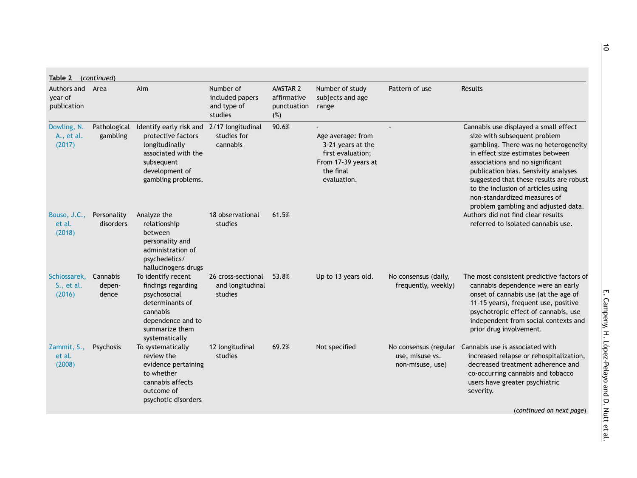| Authors and Area<br>vear of<br>publication |                             | Aim                                                                                                                                                            | Number of<br>included papers<br>and type of<br>studies | AMSTAR 2<br>affirmative<br>punctuation<br>(%) | Number of study<br>subjects and age<br>range                                                                   | Pattern of use                                               | Results                                                                                                                                                                                                                                                                                                                                                                              |
|--------------------------------------------|-----------------------------|----------------------------------------------------------------------------------------------------------------------------------------------------------------|--------------------------------------------------------|-----------------------------------------------|----------------------------------------------------------------------------------------------------------------|--------------------------------------------------------------|--------------------------------------------------------------------------------------------------------------------------------------------------------------------------------------------------------------------------------------------------------------------------------------------------------------------------------------------------------------------------------------|
| Dowling, N.<br>A., et al.<br>(2017)        | Pathological<br>gambling    | Identify early risk and 2/17 longitudinal<br>protective factors<br>longitudinally<br>associated with the<br>subsequent<br>development of<br>gambling problems. | studies for<br>cannabis                                | 90.6%                                         | Age average: from<br>3-21 years at the<br>first evaluation;<br>From 17-39 years at<br>the final<br>evaluation. |                                                              | Cannabis use displayed a small effect<br>size with subsequent problem<br>gambling. There was no heterogeneity<br>in effect size estimates between<br>associations and no significant<br>publication bias. Sensivity analyses<br>suggested that these results are robust<br>to the inclusion of articles using<br>non-standardized measures of<br>problem gambling and adjusted data. |
| Bouso, J.C.,<br>et al.<br>(2018)           | Personality<br>disorders    | Analyze the<br>relationship<br>between<br>personality and<br>administration of<br>psychedelics/<br>hallucinogens drugs                                         | 18 observational<br>studies                            | 61.5%                                         |                                                                                                                |                                                              | Authors did not find clear results<br>referred to isolated cannabis use.                                                                                                                                                                                                                                                                                                             |
| Schlossarek,<br>S., et al.<br>(2016)       | Cannabis<br>depen-<br>dence | To identify recent<br>findings regarding<br>psychosocial<br>determinants of<br>cannabis<br>dependence and to<br>summarize them<br>systematically               | 26 cross-sectional<br>and longitudinal<br>studies      | 53.8%                                         | Up to 13 years old.                                                                                            | No consensus (daily,<br>frequently, weekly)                  | The most consistent predictive factors of<br>cannabis dependence were an early<br>onset of cannabis use (at the age of<br>11-15 years), frequent use, positive<br>psychotropic effect of cannabis, use<br>independent from social contexts and<br>prior drug involvement.                                                                                                            |
| Zammit, S.,<br>et al.<br>(2008)            | Psychosis                   | To systematically<br>review the<br>evidence pertaining<br>to whether<br>cannabis affects<br>outcome of<br>psychotic disorders                                  | 12 longitudinal<br>studies                             | 69.2%                                         | Not specified                                                                                                  | No consensus (regular<br>use, misuse vs.<br>non-misuse, use) | Cannabis use is associated with<br>increased relapse or rehospitalization,<br>decreased treatment adherence and<br>co-occurring cannabis and tobacco<br>users have greater psychiatric<br>severity.                                                                                                                                                                                  |
|                                            |                             |                                                                                                                                                                |                                                        |                                               |                                                                                                                |                                                              | (continued on next page)                                                                                                                                                                                                                                                                                                                                                             |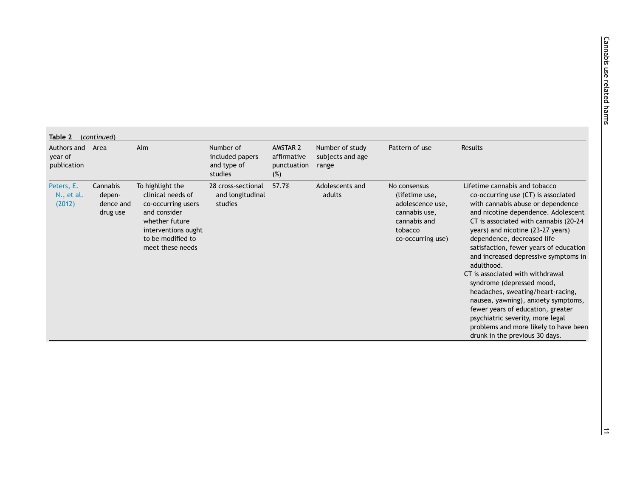| Authors and Area<br>year of<br>publication |                                             | Aim                                                                                                                                                           | Number of<br>included papers<br>and type of<br>studies | AMSTAR 2<br>affirmative<br>punctuation<br>(%) | Number of study<br>subjects and age<br>range | Pattern of use                                                                                                      | Results                                                                                                                                                                                                                                                                                                                                                                                                                                                                                                                                                                                                                                                       |
|--------------------------------------------|---------------------------------------------|---------------------------------------------------------------------------------------------------------------------------------------------------------------|--------------------------------------------------------|-----------------------------------------------|----------------------------------------------|---------------------------------------------------------------------------------------------------------------------|---------------------------------------------------------------------------------------------------------------------------------------------------------------------------------------------------------------------------------------------------------------------------------------------------------------------------------------------------------------------------------------------------------------------------------------------------------------------------------------------------------------------------------------------------------------------------------------------------------------------------------------------------------------|
| Peters, E.<br>N., et al.<br>(2012)         | Cannabis<br>depen-<br>dence and<br>drug use | To highlight the<br>clinical needs of<br>co-occurring users<br>and consider<br>whether future<br>interventions ought<br>to be modified to<br>meet these needs | 28 cross-sectional<br>and longitudinal<br>studies      | 57.7%                                         | Adolescents and<br>adults                    | No consensus<br>(lifetime use,<br>adolescence use,<br>cannabis use,<br>cannabis and<br>tobacco<br>co-occurring use) | Lifetime cannabis and tobacco<br>co-occurring use (CT) is associated<br>with cannabis abuse or dependence<br>and nicotine dependence. Adolescent<br>CT is associated with cannabis (20-24<br>years) and nicotine (23-27 years)<br>dependence, decreased life<br>satisfaction, fewer years of education<br>and increased depressive symptoms in<br>adulthood.<br>CT is associated with withdrawal<br>syndrome (depressed mood,<br>headaches, sweating/heart-racing,<br>nausea, yawning), anxiety symptoms,<br>fewer years of education, greater<br>psychiatric severity, more legal<br>problems and more likely to have been<br>drunk in the previous 30 days. |
|                                            |                                             |                                                                                                                                                               |                                                        |                                               |                                              |                                                                                                                     |                                                                                                                                                                                                                                                                                                                                                                                                                                                                                                                                                                                                                                                               |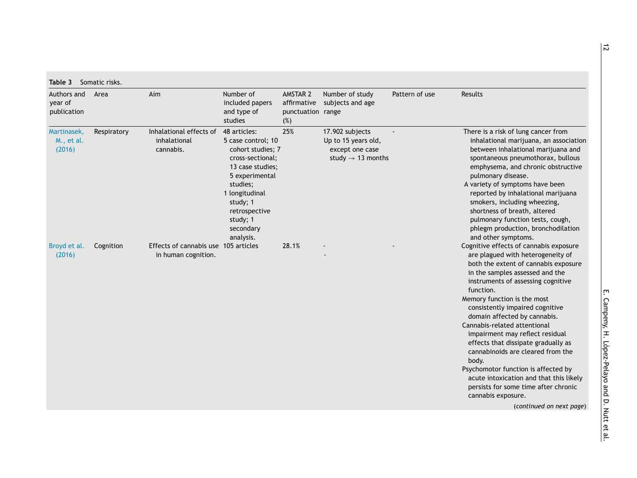<span id="page-11-0"></span>

| Authors and<br>year of<br>publication | Area        | Aim                                                         | Number of<br>included papers<br>and type of<br>studies                                                                                                                                                             | AMSTAR 2<br>punctuation range<br>(%) | Number of study<br>affirmative subjects and age                                            | Pattern of use | Results                                                                                                                                                                                                                                                                                                                                                                                                                                                                                                                                                                                                                                         |
|---------------------------------------|-------------|-------------------------------------------------------------|--------------------------------------------------------------------------------------------------------------------------------------------------------------------------------------------------------------------|--------------------------------------|--------------------------------------------------------------------------------------------|----------------|-------------------------------------------------------------------------------------------------------------------------------------------------------------------------------------------------------------------------------------------------------------------------------------------------------------------------------------------------------------------------------------------------------------------------------------------------------------------------------------------------------------------------------------------------------------------------------------------------------------------------------------------------|
| Martinasek,<br>M., et al.<br>(2016)   | Respiratory | Inhalational effects of<br>inhalational<br>cannabis.        | 48 articles:<br>5 case control; 10<br>cohort studies; 7<br>cross-sectional;<br>13 case studies;<br>5 experimental<br>studies;<br>1 longitudinal<br>study; 1<br>retrospective<br>study; 1<br>secondary<br>analysis. | 25%                                  | 17.902 subjects<br>Up to 15 years old,<br>except one case<br>study $\rightarrow$ 13 months |                | There is a risk of lung cancer from<br>inhalational marijuana, an association<br>between inhalational marijuana and<br>spontaneous pneumothorax, bullous<br>emphysema, and chronic obstructive<br>pulmonary disease.<br>A variety of symptoms have been<br>reported by inhalational marijuana<br>smokers, including wheezing,<br>shortness of breath, altered<br>pulmonary function tests, cough,<br>phlegm production, bronchodilation<br>and other symptoms.                                                                                                                                                                                  |
| Broyd et al.<br>(2016)                | Cognition   | Effects of cannabis use 105 articles<br>in human cognition. |                                                                                                                                                                                                                    | 28.1%                                |                                                                                            |                | Cognitive effects of cannabis exposure<br>are plagued with heterogeneity of<br>both the extent of cannabis exposure<br>in the samples assessed and the<br>instruments of assessing cognitive<br>function.<br>Memory function is the most<br>consistently impaired cognitive<br>domain affected by cannabis.<br>Cannabis-related attentional<br>impairment may reflect residual<br>effects that dissipate gradually as<br>cannabinoids are cleared from the<br>body.<br>Psychomotor function is affected by<br>acute intoxication and that this likely<br>persists for some time after chronic<br>cannabis exposure.<br>(continued on next page) |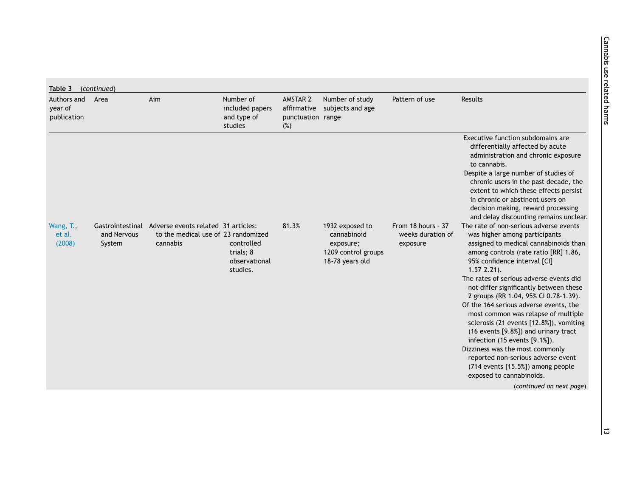| Authors and<br>year of<br>publication | Area                  | Aim                                                                                                     | Number of<br>included papers<br>and type of<br>studies | AMSTAR 2<br>punctuation range<br>(%) | Number of study<br>affirmative subjects and age                                       | Pattern of use                                      | Results                                                                                                                                                                                                                                                                                                                                                                                                                                                                                                                                                                                                                                                                                                               |
|---------------------------------------|-----------------------|---------------------------------------------------------------------------------------------------------|--------------------------------------------------------|--------------------------------------|---------------------------------------------------------------------------------------|-----------------------------------------------------|-----------------------------------------------------------------------------------------------------------------------------------------------------------------------------------------------------------------------------------------------------------------------------------------------------------------------------------------------------------------------------------------------------------------------------------------------------------------------------------------------------------------------------------------------------------------------------------------------------------------------------------------------------------------------------------------------------------------------|
|                                       |                       |                                                                                                         |                                                        |                                      |                                                                                       |                                                     | Executive function subdomains are<br>differentially affected by acute<br>administration and chronic exposure<br>to cannabis.<br>Despite a large number of studies of<br>chronic users in the past decade, the<br>extent to which these effects persist<br>in chronic or abstinent users on<br>decision making, reward processing<br>and delay discounting remains unclear.                                                                                                                                                                                                                                                                                                                                            |
| Wang, T.,<br>et al.<br>(2008)         | and Nervous<br>System | Gastrointestinal Adverse events related 31 articles:<br>to the medical use of 23 randomized<br>cannabis | controlled<br>trials; 8<br>observational<br>studies.   | 81.3%                                | 1932 exposed to<br>cannabinoid<br>exposure;<br>1209 control groups<br>18-78 years old | From 18 hours - 37<br>weeks duration of<br>exposure | The rate of non-serious adverse events<br>was higher among participants<br>assigned to medical cannabinoids than<br>among controls (rate ratio [RR] 1.86,<br>95% confidence interval [CI]<br>$1.57 - 2.21$ .<br>The rates of serious adverse events did<br>not differ significantly between these<br>2 groups (RR 1.04, 95% CI 0.78-1.39).<br>Of the 164 serious adverse events, the<br>most common was relapse of multiple<br>sclerosis (21 events [12.8%]), vomiting<br>(16 events [9.8%]) and urinary tract<br>infection (15 events [9.1%]).<br>Dizziness was the most commonly<br>reported non-serious adverse event<br>(714 events [15.5%]) among people<br>exposed to cannabinoids.<br>(continued on next page) |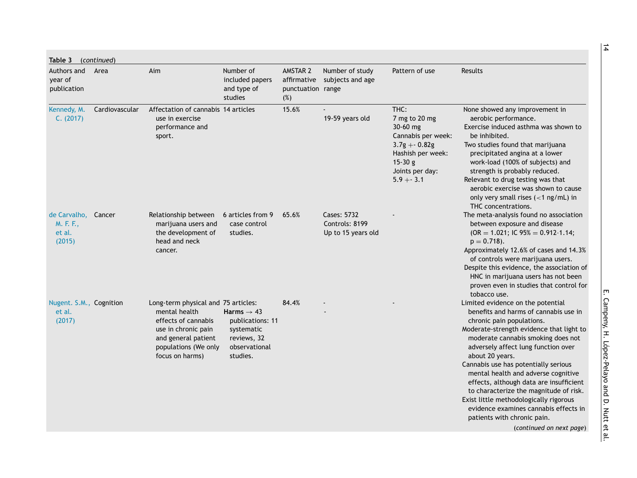| Table 3                                       | (continued)    |                                                                                                                                                                      |                                                                                                      |                                      |                                                     |                                                                                                                                               |                                                                                                                                                                                                                                                                                                                                                                                                                                                                                                                                                                       |
|-----------------------------------------------|----------------|----------------------------------------------------------------------------------------------------------------------------------------------------------------------|------------------------------------------------------------------------------------------------------|--------------------------------------|-----------------------------------------------------|-----------------------------------------------------------------------------------------------------------------------------------------------|-----------------------------------------------------------------------------------------------------------------------------------------------------------------------------------------------------------------------------------------------------------------------------------------------------------------------------------------------------------------------------------------------------------------------------------------------------------------------------------------------------------------------------------------------------------------------|
| Authors and<br>year of<br>publication         | Area           | Aim                                                                                                                                                                  | Number of<br>included papers<br>and type of<br>studies                                               | AMSTAR 2<br>punctuation range<br>(%) | Number of study<br>affirmative subjects and age     | Pattern of use                                                                                                                                | Results                                                                                                                                                                                                                                                                                                                                                                                                                                                                                                                                                               |
| Kennedy, M.<br>C. (2017)                      | Cardiovascular | Affectation of cannabis 14 articles<br>use in exercise<br>performance and<br>sport.                                                                                  |                                                                                                      | 15.6%                                | 19-59 years old                                     | THC:<br>7 mg to 20 mg<br>30-60 mg<br>Cannabis per week:<br>$3.7g + 0.82g$<br>Hashish per week:<br>$15-30 g$<br>Joints per day:<br>$5.9 + 3.1$ | None showed any improvement in<br>aerobic performance.<br>Exercise induced asthma was shown to<br>be inhibited.<br>Two studies found that marijuana<br>precipitated angina at a lower<br>work-load (100% of subjects) and<br>strength is probably reduced.<br>Relevant to drug testing was that<br>aerobic exercise was shown to cause<br>only very small rises $(<1$ ng/mL) in<br>THC concentrations.                                                                                                                                                                |
| de Carvalho,<br>M. F. F.,<br>et al.<br>(2015) | Cancer         | Relationship between<br>marijuana users and<br>the development of<br>head and neck<br>cancer.                                                                        | 6 articles from 9<br>case control<br>studies.                                                        | 65.6%                                | Cases: 5732<br>Controls: 8199<br>Up to 15 years old |                                                                                                                                               | The meta-analysis found no association<br>between exposure and disease<br>$(OR = 1.021; IC 95% = 0.912-1.14;$<br>$p = 0.718$ .<br>Approximately 12.6% of cases and 14.3%<br>of controls were marijuana users.<br>Despite this evidence, the association of<br>HNC in marijuana users has not been<br>proven even in studies that control for<br>tobacco use.                                                                                                                                                                                                          |
| Nugent. S.M., Cognition<br>et al.<br>(2017)   |                | Long-term physical and 75 articles:<br>mental health<br>effects of cannabis<br>use in chronic pain<br>and general patient<br>populations (We only<br>focus on harms) | Harms $\rightarrow$ 43<br>publications: 11<br>systematic<br>reviews, 32<br>observational<br>studies. | 84.4%                                |                                                     |                                                                                                                                               | Limited evidence on the potential<br>benefits and harms of cannabis use in<br>chronic pain populations.<br>Moderate-strength evidence that light to<br>moderate cannabis smoking does not<br>adversely affect lung function over<br>about 20 years.<br>Cannabis use has potentially serious<br>mental health and adverse cognitive<br>effects, although data are insufficient<br>to characterize the magnitude of risk.<br>Exist little methodologically rigorous<br>evidence examines cannabis effects in<br>patients with chronic pain.<br>(continued on next page) |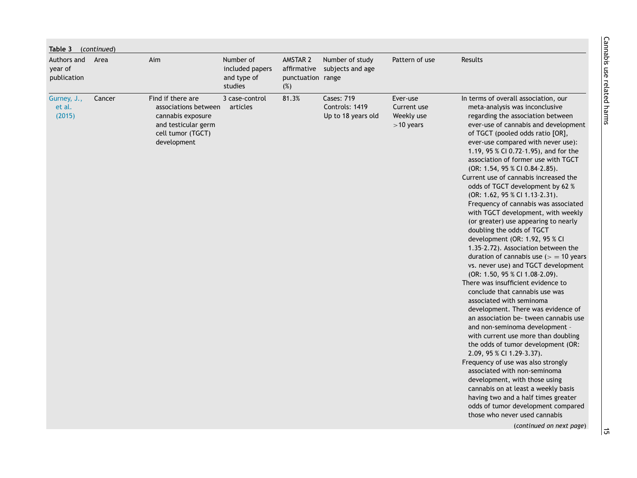| Authors and                     | Table 3 (continued)<br>Area | Aim                                                                                                                       | Number of                                 | AMSTAR 2                 | Number of study                                           | Pattern of use                                       | Results                                                                                                                                                                                                                                                                                                                                                                                                                                                                                                                                                                                                                                                                                                                                                                                                                                                                                                                                                                                                                                                                                                                                                                                                                                                                                                                                                                                                                             |
|---------------------------------|-----------------------------|---------------------------------------------------------------------------------------------------------------------------|-------------------------------------------|--------------------------|-----------------------------------------------------------|------------------------------------------------------|-------------------------------------------------------------------------------------------------------------------------------------------------------------------------------------------------------------------------------------------------------------------------------------------------------------------------------------------------------------------------------------------------------------------------------------------------------------------------------------------------------------------------------------------------------------------------------------------------------------------------------------------------------------------------------------------------------------------------------------------------------------------------------------------------------------------------------------------------------------------------------------------------------------------------------------------------------------------------------------------------------------------------------------------------------------------------------------------------------------------------------------------------------------------------------------------------------------------------------------------------------------------------------------------------------------------------------------------------------------------------------------------------------------------------------------|
| year of<br>publication          |                             |                                                                                                                           | included papers<br>and type of<br>studies | punctuation range<br>(%) | affirmative subjects and age                              |                                                      |                                                                                                                                                                                                                                                                                                                                                                                                                                                                                                                                                                                                                                                                                                                                                                                                                                                                                                                                                                                                                                                                                                                                                                                                                                                                                                                                                                                                                                     |
| Gurney, J.,<br>et al.<br>(2015) | Cancer                      | Find if there are<br>associations between<br>cannabis exposure<br>and testicular germ<br>cell tumor (TGCT)<br>development | 3 case-control<br>articles                | 81.3%                    | <b>Cases: 719</b><br>Controls: 1419<br>Up to 18 years old | Ever-use<br>Current use<br>Weekly use<br>$>10$ years | In terms of overall association, our<br>meta-analysis was inconclusive<br>regarding the association between<br>ever-use of cannabis and development<br>of TGCT (pooled odds ratio [OR],<br>ever-use compared with never use):<br>1.19, 95 % CI 0.72-1.95), and for the<br>association of former use with TGCT<br>(OR: 1.54, 95 % CI 0.84-2.85).<br>Current use of cannabis increased the<br>odds of TGCT development by 62 %<br>(OR: 1.62, 95 % Cl 1.13-2.31).<br>Frequency of cannabis was associated<br>with TGCT development, with weekly<br>(or greater) use appearing to nearly<br>doubling the odds of TGCT<br>development (OR: 1.92, 95 % CI<br>1.35-2.72). Association between the<br>duration of cannabis use $(>=10$ years<br>vs. never use) and TGCT development<br>(OR: 1.50, 95 % Cl 1.08-2.09).<br>There was insufficient evidence to<br>conclude that cannabis use was<br>associated with seminoma<br>development. There was evidence of<br>an association be-tween cannabis use<br>and non-seminoma development -<br>with current use more than doubling<br>the odds of tumor development (OR:<br>2.09, 95 % CI 1.29-3.37).<br>Frequency of use was also strongly<br>associated with non-seminoma<br>development, with those using<br>cannabis on at least a weekly basis<br>having two and a half times greater<br>odds of tumor development compared<br>those who never used cannabis<br>(continued on next page) |
|                                 |                             |                                                                                                                           |                                           |                          |                                                           |                                                      |                                                                                                                                                                                                                                                                                                                                                                                                                                                                                                                                                                                                                                                                                                                                                                                                                                                                                                                                                                                                                                                                                                                                                                                                                                                                                                                                                                                                                                     |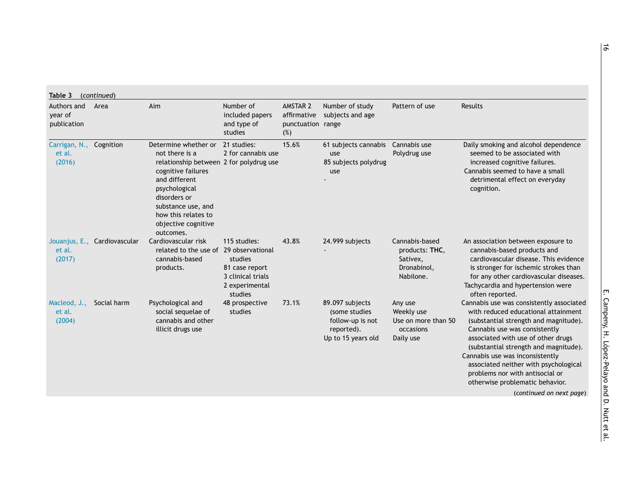| Authors and<br>year of<br>publication       | Area                         | Aim                                                                                                                                                                                                                                        | Number of<br>included papers<br>and type of<br>studies                                      | AMSTAR 2<br>affirmative<br>punctuation range<br>(%) | Number of study<br>subjects and age                                                      | Pattern of use                                                           | Results                                                                                                                                                                                                                                                                                                                                                                                                                |
|---------------------------------------------|------------------------------|--------------------------------------------------------------------------------------------------------------------------------------------------------------------------------------------------------------------------------------------|---------------------------------------------------------------------------------------------|-----------------------------------------------------|------------------------------------------------------------------------------------------|--------------------------------------------------------------------------|------------------------------------------------------------------------------------------------------------------------------------------------------------------------------------------------------------------------------------------------------------------------------------------------------------------------------------------------------------------------------------------------------------------------|
| Carrigan, N., Cognition<br>et al.<br>(2016) |                              | Determine whether or<br>not there is a<br>relationship between 2 for polydrug use<br>cognitive failures<br>and different<br>psychological<br>disorders or<br>substance use, and<br>how this relates to<br>objective cognitive<br>outcomes. | 21 studies:<br>2 for cannabis use                                                           | 15.6%                                               | 61 subjects cannabis Cannabis use<br>use<br>85 subjects polydrug<br>use                  | Polydrug use                                                             | Daily smoking and alcohol dependence<br>seemed to be associated with<br>increased cognitive failures.<br>Cannabis seemed to have a small<br>detrimental effect on everyday<br>cognition.                                                                                                                                                                                                                               |
| et al.<br>(2017)                            | Jouanjus, E., Cardiovascular | Cardiovascular risk<br>related to the use of 29 observational<br>cannabis-based<br>products.                                                                                                                                               | 115 studies:<br>studies<br>81 case report<br>3 clinical trials<br>2 experimental<br>studies | 43.8%                                               | 24.999 subjects                                                                          | Cannabis-based<br>products: THC,<br>Sativex,<br>Dronabinol,<br>Nabilone. | An association between exposure to<br>cannabis-based products and<br>cardiovascular disease. This evidence<br>is stronger for ischemic strokes than<br>for any other cardiovascular diseases.<br>Tachycardia and hypertension were<br>often reported.                                                                                                                                                                  |
| Macleod, J.,<br>et al.<br>(2004)            | Social harm                  | Psychological and<br>social sequelae of<br>cannabis and other<br>illicit drugs use                                                                                                                                                         | 48 prospective<br>studies                                                                   | 73.1%                                               | 89.097 subjects<br>(some studies<br>follow-up is not<br>reported).<br>Up to 15 years old | Any use<br>Weekly use<br>Use on more than 50<br>occasions<br>Daily use   | Cannabis use was consistently associated<br>with reduced educational attainment<br>(substantial strength and magnitude).<br>Cannabis use was consistently<br>associated with use of other drugs<br>(substantial strength and magnitude).<br>Cannabis use was inconsistently<br>associated neither with psychological<br>problems nor with antisocial or<br>otherwise problematic behavior.<br>(continued on next page) |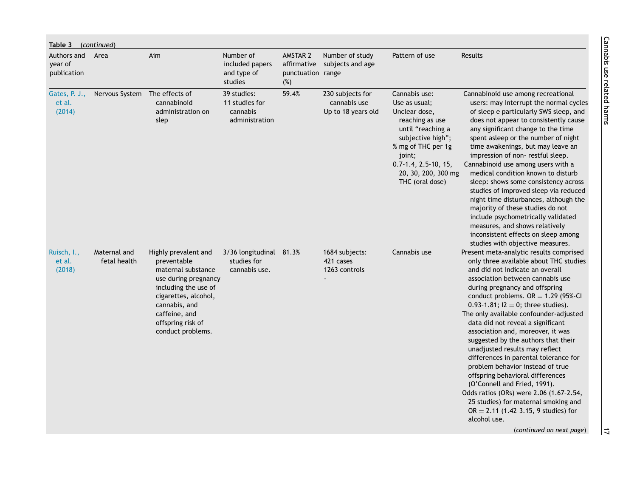| Table 3<br>Authors and            | (continued)<br>Area           | Aim                                                                                                                                                                                                           | Number of                                                   | AMSTAR 2                                | Number of study                                        | Pattern of use                                                                                                                                                                                                       | <b>Results</b>                                                                                                                                                                                                                                                                                                                                                                                                                                                                                                                                                                                                                                                                                                                                                          |
|-----------------------------------|-------------------------------|---------------------------------------------------------------------------------------------------------------------------------------------------------------------------------------------------------------|-------------------------------------------------------------|-----------------------------------------|--------------------------------------------------------|----------------------------------------------------------------------------------------------------------------------------------------------------------------------------------------------------------------------|-------------------------------------------------------------------------------------------------------------------------------------------------------------------------------------------------------------------------------------------------------------------------------------------------------------------------------------------------------------------------------------------------------------------------------------------------------------------------------------------------------------------------------------------------------------------------------------------------------------------------------------------------------------------------------------------------------------------------------------------------------------------------|
| year of<br>publication            |                               |                                                                                                                                                                                                               | included papers<br>and type of<br>studies                   | affirmative<br>punctuation range<br>(%) | subjects and age                                       |                                                                                                                                                                                                                      |                                                                                                                                                                                                                                                                                                                                                                                                                                                                                                                                                                                                                                                                                                                                                                         |
| Gates, P. J.,<br>et al.<br>(2014) | Nervous System The effects of | cannabinoid<br>administration on<br>slep                                                                                                                                                                      | 39 studies:<br>11 studies for<br>cannabis<br>administration | 59.4%                                   | 230 subjects for<br>cannabis use<br>Up to 18 years old | Cannabis use:<br>Use as usual;<br>Unclear dose,<br>reaching as use<br>until "reaching a<br>subjective high";<br>% mg of THC per 1g<br>joint;<br>$0.7 - 1.4, 2.5 - 10, 15,$<br>20, 30, 200, 300 mg<br>THC (oral dose) | Cannabinoid use among recreational<br>users: may interrupt the normal cycles<br>of sleep e particularly SWS sleep, and<br>does not appear to consistently cause<br>any significant change to the time<br>spent asleep or the number of night<br>time awakenings, but may leave an<br>impression of non-restful sleep.<br>Cannabinoid use among users with a<br>medical condition known to disturb<br>sleep: shows some consistency across<br>studies of improved sleep via reduced<br>night time disturbances, although the<br>majority of these studies do not<br>include psychometrically validated<br>measures, and shows relatively<br>inconsistent effects on sleep among<br>studies with objective measures.                                                      |
| Ruisch, I.,<br>et al.<br>(2018)   | Maternal and<br>fetal health  | Highly prevalent and<br>preventable<br>maternal substance<br>use during pregnancy<br>including the use of<br>cigarettes, alcohol,<br>cannabis, and<br>caffeine, and<br>offspring risk of<br>conduct problems. | 3/36 longitudinal 81.3%<br>studies for<br>cannabis use.     |                                         | 1684 subjects:<br>421 cases<br>1263 controls           | Cannabis use                                                                                                                                                                                                         | Present meta-analytic results comprised<br>only three available about THC studies<br>and did not indicate an overall<br>association between cannabis use<br>during pregnancy and offspring<br>conduct problems. $OR = 1.29$ (95%-CI<br>0.93-1.81; $12 = 0$ ; three studies).<br>The only available confounder-adjusted<br>data did not reveal a significant<br>association and, moreover, it was<br>suggested by the authors that their<br>unadjusted results may reflect<br>differences in parental tolerance for<br>problem behavior instead of true<br>offspring behavioral differences<br>(O'Connell and Fried, 1991).<br>Odds ratios (ORs) were 2.06 (1.67-2.54,<br>25 studies) for maternal smoking and<br>$OR = 2.11$ (1.42-3.15, 9 studies) for<br>alcohol use. |
|                                   |                               |                                                                                                                                                                                                               |                                                             |                                         |                                                        |                                                                                                                                                                                                                      | (continued on next page)                                                                                                                                                                                                                                                                                                                                                                                                                                                                                                                                                                                                                                                                                                                                                |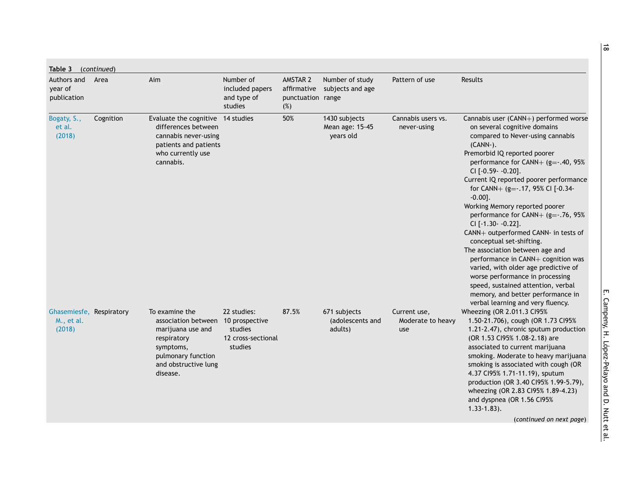| Authors and<br>year of<br>publication            | Area      | Aim                                                                                                                                              | Number of<br>included papers<br>and type of<br>studies                    | AMSTAR 2<br>affirmative<br>punctuation range<br>(%) | Number of study<br>subjects and age           | Pattern of use                           | Results                                                                                                                                                                                                                                                                                                                                                                                                                                                                                                                                                                                                                                                                                                                                              |
|--------------------------------------------------|-----------|--------------------------------------------------------------------------------------------------------------------------------------------------|---------------------------------------------------------------------------|-----------------------------------------------------|-----------------------------------------------|------------------------------------------|------------------------------------------------------------------------------------------------------------------------------------------------------------------------------------------------------------------------------------------------------------------------------------------------------------------------------------------------------------------------------------------------------------------------------------------------------------------------------------------------------------------------------------------------------------------------------------------------------------------------------------------------------------------------------------------------------------------------------------------------------|
| Bogaty, S.,<br>et al.<br>(2018)                  | Cognition | Evaluate the cognitive 14 studies<br>differences between<br>cannabis never-using<br>patients and patients<br>who currently use<br>cannabis.      |                                                                           | 50%                                                 | 1430 subjects<br>Mean age: 15-45<br>years old | Cannabis users vs.<br>never-using        | Cannabis user (CANN+) performed worse<br>on several cognitive domains<br>compared to Never-using cannabis<br>(CANN-).<br>Premorbid IQ reported poorer<br>performance for CANN+ (g=-.40, 95%<br>CI [-0.59- -0.20].<br>Current IQ reported poorer performance<br>for CANN+ (g=-.17, 95% CI [-0.34-<br>$-0.00$ ].<br>Working Memory reported poorer<br>performance for CANN+ (g=-.76, 95%<br>CI [-1.30- -0.22].<br>CANN+ outperformed CANN- in tests of<br>conceptual set-shifting.<br>The association between age and<br>performance in CANN+ cognition was<br>varied, with older age predictive of<br>worse performance in processing<br>speed, sustained attention, verbal<br>memory, and better performance in<br>verbal learning and very fluency. |
| Ghasemiesfe, Respiratory<br>M., et al.<br>(2018) |           | To examine the<br>association between<br>marijuana use and<br>respiratory<br>symptoms,<br>pulmonary function<br>and obstructive lung<br>disease. | 22 studies:<br>10 prospective<br>studies<br>12 cross-sectional<br>studies | 87.5%                                               | 671 subjects<br>(adolescents and<br>adults)   | Current use,<br>Moderate to heavy<br>use | Wheezing (OR 2.011.3 CI95%<br>1.50-21.706), cough (OR 1.73 CI95%<br>1.21-2.47), chronic sputum production<br>(OR 1.53 Cl95% 1.08-2.18) are<br>associated to current marijuana<br>smoking. Moderate to heavy marijuana<br>smoking is associated with cough (OR<br>4.37 CI95% 1.71-11.19), sputum<br>production (OR 3.40 Cl95% 1.99-5.79),<br>wheezing (OR 2.83 CI95% 1.89-4.23)<br>and dyspnea (OR 1.56 CI95%<br>$1.33 - 1.83$ ).<br>(continued on next page)                                                                                                                                                                                                                                                                                         |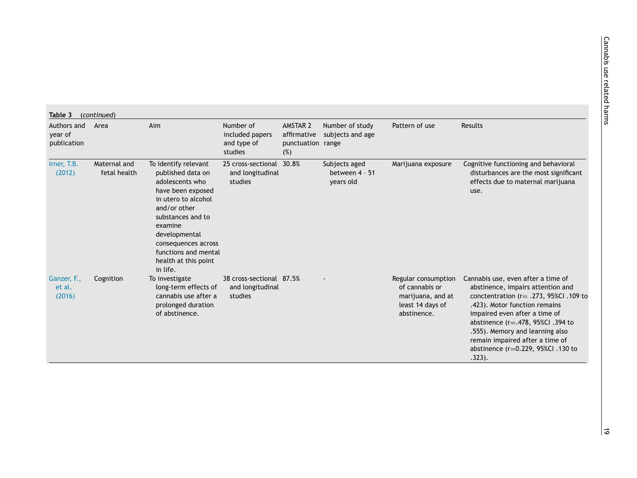| Authors and<br>year of<br>publication | Area                         | Aim                                                                                                                                                                                                                                                          | Number of<br>included papers<br>and type of<br>studies  | AMSTAR 2<br>affirmative<br>punctuation range<br>(%) | Number of study<br>subjects and age          | Pattern of use                                                                                | Results                                                                                                                                                                                                                                                                                                                                                  |
|---------------------------------------|------------------------------|--------------------------------------------------------------------------------------------------------------------------------------------------------------------------------------------------------------------------------------------------------------|---------------------------------------------------------|-----------------------------------------------------|----------------------------------------------|-----------------------------------------------------------------------------------------------|----------------------------------------------------------------------------------------------------------------------------------------------------------------------------------------------------------------------------------------------------------------------------------------------------------------------------------------------------------|
| Irner, T.B.<br>(2012)                 | Maternal and<br>fetal health | To identify relevant<br>published data on<br>adolescents who<br>have been exposed<br>in utero to alcohol<br>and/or other<br>substances and to<br>examine<br>developmental<br>consequences across<br>functions and mental<br>health at this point<br>in life. | 25 cross-sectional<br>and longitudinal<br>studies       | 30.8%                                               | Subjects aged<br>between 4 - 51<br>years old | Marijuana exposure                                                                            | Cognitive functioning and behavioral<br>disturbances are the most significant<br>effects due to maternal marijuana<br>use.                                                                                                                                                                                                                               |
| Ganzer, F.,<br>et al.<br>(2016)       | Cognition                    | To investigate<br>long-term effects of<br>cannabis use after a<br>prolonged duration<br>of abstinence.                                                                                                                                                       | 38 cross-sectional 87.5%<br>and longitudinal<br>studies |                                                     |                                              | Regular consumption<br>of cannabis or<br>marijuana, and at<br>least 14 days of<br>abstinence. | Cannabis use, even after a time of<br>abstinence, impairs attention and<br>conctentration ( $r = .273$ , 95%Cl. 109 to<br>.423). Motor function remains<br>impaired even after a time of<br>abstinence ( $r = .478$ , 95%Cl .394 to<br>.555). Memory and learning also<br>remain impaired after a time of<br>abstinence (r=0.229, 95%Cl.130 to<br>.323). |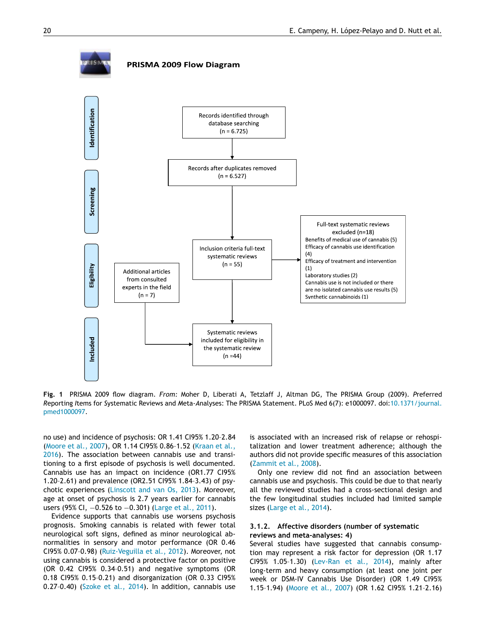<span id="page-19-0"></span>

#### PRISMA 2009 Flow Diagram



**Fig. 1** PRISMA 2009 flow diagram. *From:* Moher D, Liberati A, Tetzlaff J, Altman DG, The PRISMA Group (2009). *P*referred *R*eporting *I*tems for *S*ystematic Reviews and *M*eta-*A*nalyses: The PRISMA Statement. PLoS Med 6(7): e1000097. [doi:10.1371/journal.](https://doi.org/10.1371/journal.pmed1000097) pmed1000097.

no use) and incidence of psychosis: OR 1.41 CI95% 1.20–2.84 [\(Moore](#page-33-0) et al., 2007), OR 1.14 CI95% 0.86–1.52 (Kraan et al., 2016). The [association](#page-32-0) between cannabis use and transitioning to a first episode of psychosis is well documented. Cannabis use has an impact on incidence (OR1.77 CI95% 1.20–2.61) and prevalence (OR2.51 CI95% 1.84–3.43) of psychotic experiences [\(Linscott](#page-32-0) and van Os, 2013). Moreover, age at onset of psychosis is 2.7 years earlier for cannabis users (95% CI, -0.526 to -0.301) [\(Large](#page-32-0) et al., 2011).

Evidence supports that cannabis use worsens psychosis prognosis. Smoking cannabis is related with fewer total neurological soft signs, defined as minor neurological abnormalities in sensory and motor performance (OR 0.46 CI95% 0.07–0.98) [\(Ruiz-Veguilla](#page-33-0) et al., 2012). Moreover, not using cannabis is considered a protective factor on positive (OR 0.42 CI95% 0.34–0.51) and negative symptoms (OR 0.18 CI95% 0.15–0.21) and disorganization (OR 0.33 CI95% 0.27–0.40) [\(Szoke](#page-33-0) et al., 2014). In addition, cannabis use is associated with an increased risk of relapse or rehospitalization and lower treatment adherence; although the authors did not provide specific measures of this association [\(Zammit](#page-34-0) et al., 2008).

Only one review did not find an association between cannabis use and psychosis. This could be due to that nearly all the reviewed studies had a cross-sectional design and the few longitudinal studies included had limited sample sizes [\(Large](#page-32-0) et al., 2014).

#### **3.1.2. Affective disorders (number of systematic reviews and meta-analyses: 4)**

Several studies have suggested that cannabis consumption may represent a risk factor for depression (OR 1.17 CI95% 1.05–1.30) [\(Lev-Ran](#page-32-0) et al., 2014), mainly after long-term and heavy consumption (at least one joint per week or DSM-IV Cannabis Use Disorder) (OR 1.49 CI95% 1.15–1.94) [\(Moore](#page-33-0) et al., 2007) (OR 1.62 CI95% 1.21–2.16)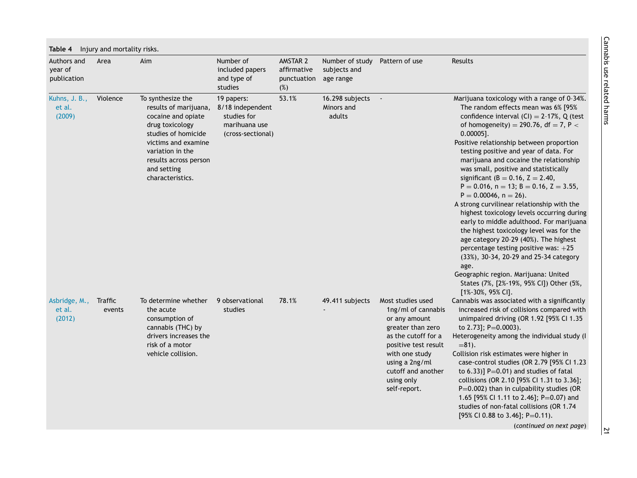<span id="page-20-0"></span>

| Authors and<br>year of<br>publication | Area              | Aim                                                                                                                                                                                                               | Number of<br>included papers<br>and type of<br>studies                              | AMSTAR 2<br>affirmative<br>punctuation<br>(%) | Number of study<br>subjects and<br>age range | Pattern of use                                                                                                                                                                                                       | <b>Results</b>                                                                                                                                                                                                                                                                                                                                                                                                                                                                                                                                                                                                                                                                                                                                                                                                                                                                                                                         |
|---------------------------------------|-------------------|-------------------------------------------------------------------------------------------------------------------------------------------------------------------------------------------------------------------|-------------------------------------------------------------------------------------|-----------------------------------------------|----------------------------------------------|----------------------------------------------------------------------------------------------------------------------------------------------------------------------------------------------------------------------|----------------------------------------------------------------------------------------------------------------------------------------------------------------------------------------------------------------------------------------------------------------------------------------------------------------------------------------------------------------------------------------------------------------------------------------------------------------------------------------------------------------------------------------------------------------------------------------------------------------------------------------------------------------------------------------------------------------------------------------------------------------------------------------------------------------------------------------------------------------------------------------------------------------------------------------|
| Kuhns, J. B.,<br>et al.<br>(2009)     | Violence          | To synthesize the<br>results of marijuana,<br>cocaine and opiate<br>drug toxicology<br>studies of homicide<br>victims and examine<br>variation in the<br>results across person<br>and setting<br>characteristics. | 19 papers:<br>8/18 independent<br>studies for<br>marihuana use<br>(cross-sectional) | 53.1%                                         | 16.298 subjects<br>Minors and<br>adults      | $\sim$                                                                                                                                                                                                               | Marijuana toxicology with a range of 0-34%.<br>The random effects mean was 6% [95%<br>confidence interval $(Cl) = 2-17%$ , Q (test<br>of homogeneity) = 290.76, df = 7, P $<$<br>$0.00005$ ].<br>Positive relationship between proportion<br>testing positive and year of data. For<br>marijuana and cocaine the relationship<br>was small, positive and statistically<br>significant ( $B = 0.16$ , $Z = 2.40$ ,<br>$P = 0.016$ , $n = 13$ ; $B = 0.16$ , $Z = 3.55$ ,<br>$P = 0.00046$ , $n = 26$ ).<br>A strong curvilinear relationship with the<br>highest toxicology levels occurring during<br>early to middle adulthood. For marijuana<br>the highest toxicology level was for the<br>age category 20-29 (40%). The highest<br>percentage testing positive was: +25<br>(33%), 30-34, 20-29 and 25-34 category<br>age.<br>Geographic region. Marijuana: United<br>States (7%, [2%-19%, 95% CI]) Other (5%,<br>[1%-30%, 95% CI]. |
| Asbridge, M.,<br>et al.<br>(2012)     | Traffic<br>events | To determine whether<br>the acute<br>consumption of<br>cannabis (THC) by<br>drivers increases the<br>risk of a motor<br>vehicle collision.                                                                        | 9 observational<br>studies                                                          | 78.1%                                         | 49.411 subjects                              | Most studies used<br>1ng/ml of cannabis<br>or any amount<br>greater than zero<br>as the cutoff for a<br>positive test result<br>with one study<br>using a 2ng/ml<br>cutoff and another<br>using only<br>self-report. | Cannabis was associated with a significantly<br>increased risk of collisions compared with<br>unimpaired driving (OR 1.92 [95% CI 1.35<br>to 2.73]; P=0.0003).<br>Heterogeneity among the individual study (I<br>$= 81$ ).<br>Collision risk estimates were higher in<br>case-control studies (OR 2.79 [95% Cl 1.23<br>to $(6.33)$ ] P=0.01) and studies of fatal<br>collisions (OR 2.10 [95% CI 1.31 to 3.36];<br>$P=0.002$ ) than in culpability studies (OR<br>1.65 [95% CI 1.11 to 2.46]; P=0.07) and<br>studies of non-fatal collisions (OR 1.74<br>[95% CI 0.88 to 3.46]; P=0.11).                                                                                                                                                                                                                                                                                                                                               |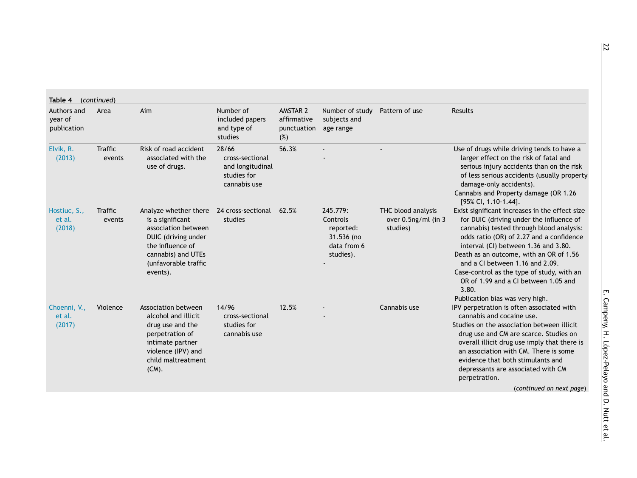| Authors and<br>year of<br>publication | Area                     | Aim                                                                                                                                                                   | Number of<br>included papers<br>and type of<br>studies                      | AMSTAR 2<br>affirmative<br>punctuation<br>(%) | Number of study<br>subjects and<br>age range                                | Pattern of use                                        | Results                                                                                                                                                                                                                                                                                                                                                                                                                                    |
|---------------------------------------|--------------------------|-----------------------------------------------------------------------------------------------------------------------------------------------------------------------|-----------------------------------------------------------------------------|-----------------------------------------------|-----------------------------------------------------------------------------|-------------------------------------------------------|--------------------------------------------------------------------------------------------------------------------------------------------------------------------------------------------------------------------------------------------------------------------------------------------------------------------------------------------------------------------------------------------------------------------------------------------|
| Elvik, R.<br>(2013)                   | <b>Traffic</b><br>events | Risk of road accident<br>associated with the<br>use of drugs.                                                                                                         | 28/66<br>cross-sectional<br>and longitudinal<br>studies for<br>cannabis use | 56.3%                                         |                                                                             |                                                       | Use of drugs while driving tends to have a<br>larger effect on the risk of fatal and<br>serious injury accidents than on the risk<br>of less serious accidents (usually property<br>damage-only accidents).<br>Cannabis and Property damage (OR 1.26<br>[95% CI, 1.10-1.44].                                                                                                                                                               |
| Hostiuc, S.,<br>et al.<br>(2018)      | Traffic<br>events        | Analyze whether there<br>is a significant<br>association between<br>DUIC (driving under<br>the influence of<br>cannabis) and UTEs<br>(unfavorable traffic<br>events). | 24 cross-sectional<br>studies                                               | 62.5%                                         | 245.779:<br>Controls<br>reported:<br>31.536 (no<br>data from 6<br>studies). | THC blood analysis<br>over 0.5ng/ml (in 3<br>studies) | Exist significant increases in the effect size<br>for DUIC (driving under the influence of<br>cannabis) tested through blood analysis:<br>odds ratio (OR) of 2.27 and a confidence<br>interval (CI) between 1.36 and 3.80.<br>Death as an outcome, with an OR of 1.56<br>and a CI between 1.16 and 2.09.<br>Case-control as the type of study, with an<br>OR of 1.99 and a CI between 1.05 and<br>3.80.<br>Publication bias was very high. |
| Choenni, V.,<br>et al.<br>(2017)      | Violence                 | <b>Association between</b><br>alcohol and illicit<br>drug use and the<br>perpetration of<br>intimate partner<br>violence (IPV) and<br>child maltreatment<br>$(CM)$ .  | 14/96<br>cross-sectional<br>studies for<br>cannabis use                     | 12.5%                                         |                                                                             | Cannabis use                                          | IPV perpetration is often associated with<br>cannabis and cocaine use.<br>Studies on the association between illicit<br>drug use and CM are scarce. Studies on<br>overall illicit drug use imply that there is<br>an association with CM. There is some<br>evidence that both stimulants and<br>depressants are associated with CM<br>perpetration.<br>(continued on next page)                                                            |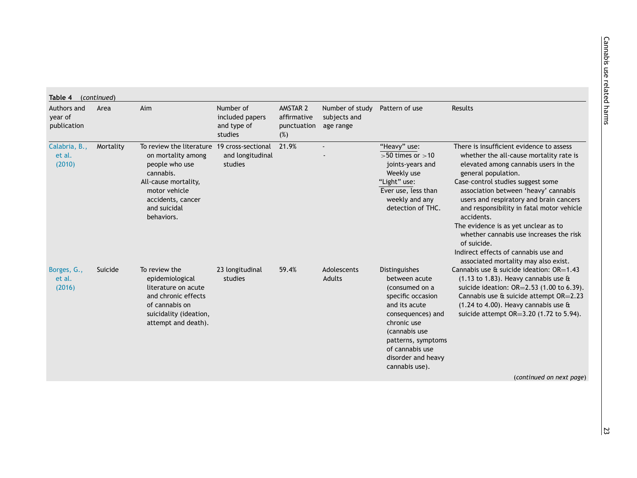| Authors and<br>year of<br>publication      | Area      | Aim                                                                                                                                                                                          | Number of<br>included papers<br>and type of<br>studies | AMSTAR 2<br>affirmative<br>punctuation<br>(%) | Number of study<br>subjects and<br>age range | Pattern of use                                                                                                                                                                                                               | <b>Results</b>                                                                                                                                                                                                                                                                                                                                                                                                                                                                                                          |
|--------------------------------------------|-----------|----------------------------------------------------------------------------------------------------------------------------------------------------------------------------------------------|--------------------------------------------------------|-----------------------------------------------|----------------------------------------------|------------------------------------------------------------------------------------------------------------------------------------------------------------------------------------------------------------------------------|-------------------------------------------------------------------------------------------------------------------------------------------------------------------------------------------------------------------------------------------------------------------------------------------------------------------------------------------------------------------------------------------------------------------------------------------------------------------------------------------------------------------------|
| Calabria, B.,<br>et al.<br>(2010)          | Mortality | To review the literature 19 cross-sectional<br>on mortality among<br>people who use<br>cannabis.<br>All-cause mortality,<br>motor vehicle<br>accidents, cancer<br>and suicidal<br>behaviors. | and longitudinal<br>studies                            | 21.9%                                         |                                              | "Heavy" use:<br>$>50$ times or $>10$<br>joints-years and<br>Weekly use<br>"Light" use:<br>Ever use, less than<br>weekly and any<br>detection of THC.                                                                         | There is insufficient evidence to assess<br>whether the all-cause mortality rate is<br>elevated among cannabis users in the<br>general population.<br>Case-control studies suggest some<br>association between 'heavy' cannabis<br>users and respiratory and brain cancers<br>and responsibility in fatal motor vehicle<br>accidents.<br>The evidence is as yet unclear as to<br>whether cannabis use increases the risk<br>of suicide.<br>Indirect effects of cannabis use and<br>associated mortality may also exist. |
| Borges, G.,<br>Suicide<br>et al.<br>(2016) |           | To review the<br>epidemiological<br>literature on acute<br>and chronic effects<br>of cannabis on<br>suicidality (ideation,<br>attempt and death).                                            | 23 longitudinal<br>studies                             | 59.4%                                         | Adolescents<br><b>Adults</b>                 | Distinguishes<br>between acute<br>(consumed on a<br>specific occasion<br>and its acute<br>consequences) and<br>chronic use<br>(cannabis use<br>patterns, symptoms<br>of cannabis use<br>disorder and heavy<br>cannabis use). | Cannabis use & suicide ideation: OR=1.43<br>$(1.13$ to 1.83). Heavy cannabis use $\alpha$<br>suicide ideation: OR=2.53 (1.00 to 6.39).<br>Cannabis use & suicide attempt OR=2.23<br>$(1.24 \text{ to } 4.00)$ . Heavy cannabis use &<br>suicide attempt OR=3.20 (1.72 to 5.94).                                                                                                                                                                                                                                         |
|                                            |           |                                                                                                                                                                                              |                                                        |                                               |                                              |                                                                                                                                                                                                                              | (continued on next page)                                                                                                                                                                                                                                                                                                                                                                                                                                                                                                |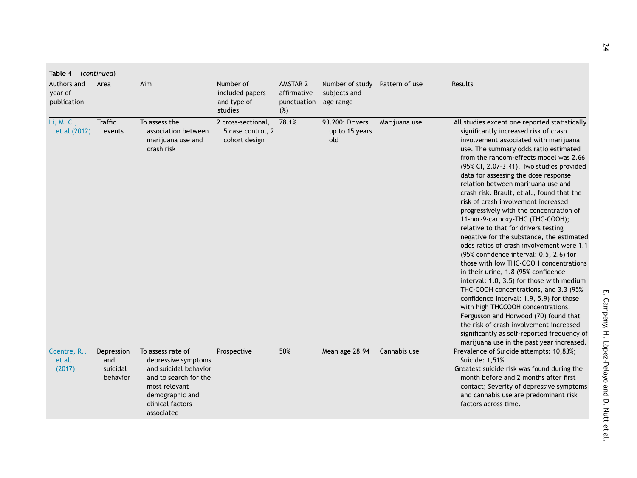| Authors and<br>year of<br>publication | Area                                      | Aim                                                                                                                                                              | Number of<br>included papers<br>and type of<br>studies   | AMSTAR 2<br>affirmative<br>punctuation<br>(%) | Number of study<br>subjects and<br>age range | Pattern of use | Results                                                                                                                                                                                                                                                                                                                                                                                                                                                                                                                                                                                                                                                                                                                                                                                                                                                                                                                                                                                                                                                                                                                                |
|---------------------------------------|-------------------------------------------|------------------------------------------------------------------------------------------------------------------------------------------------------------------|----------------------------------------------------------|-----------------------------------------------|----------------------------------------------|----------------|----------------------------------------------------------------------------------------------------------------------------------------------------------------------------------------------------------------------------------------------------------------------------------------------------------------------------------------------------------------------------------------------------------------------------------------------------------------------------------------------------------------------------------------------------------------------------------------------------------------------------------------------------------------------------------------------------------------------------------------------------------------------------------------------------------------------------------------------------------------------------------------------------------------------------------------------------------------------------------------------------------------------------------------------------------------------------------------------------------------------------------------|
| Li, M. C.,<br>et al (2012)            | <b>Traffic</b><br>events                  | To assess the<br>association between<br>marijuana use and<br>crash risk                                                                                          | 2 cross-sectional,<br>5 case control, 2<br>cohort design | 78.1%                                         | 93.200: Drivers<br>up to 15 years<br>old     | Marijuana use  | All studies except one reported statistically<br>significantly increased risk of crash<br>involvement associated with marijuana<br>use. The summary odds ratio estimated<br>from the random-effects model was 2.66<br>(95% CI, 2.07-3.41). Two studies provided<br>data for assessing the dose response<br>relation between marijuana use and<br>crash risk. Brault, et al., found that the<br>risk of crash involvement increased<br>progressively with the concentration of<br>11-nor-9-carboxy-THC (THC-COOH);<br>relative to that for drivers testing<br>negative for the substance, the estimated<br>odds ratios of crash involvement were 1.1<br>(95% confidence interval: 0.5, 2.6) for<br>those with low THC-COOH concentrations<br>in their urine, 1.8 (95% confidence<br>interval: 1.0, 3.5) for those with medium<br>THC-COOH concentrations, and 3.3 (95%<br>confidence interval: 1.9, 5.9) for those<br>with high THCCOOH concentrations.<br>Fergusson and Horwood (70) found that<br>the risk of crash involvement increased<br>significantly as self-reported frequency of<br>marijuana use in the past year increased. |
| Coentre, R.,<br>et al.<br>(2017)      | Depression<br>and<br>suicidal<br>behavior | To assess rate of<br>depressive symptoms<br>and suicidal behavior<br>and to search for the<br>most relevant<br>demographic and<br>clinical factors<br>associated | Prospective                                              | 50%                                           | Mean age 28.94                               | Cannabis use   | Prevalence of Suicide attempts: 10,83%;<br>Suicide: 1,51%.<br>Greatest suicide risk was found during the<br>month before and 2 months after first<br>contact; Severity of depressive symptoms<br>and cannabis use are predominant risk<br>factors across time.                                                                                                                                                                                                                                                                                                                                                                                                                                                                                                                                                                                                                                                                                                                                                                                                                                                                         |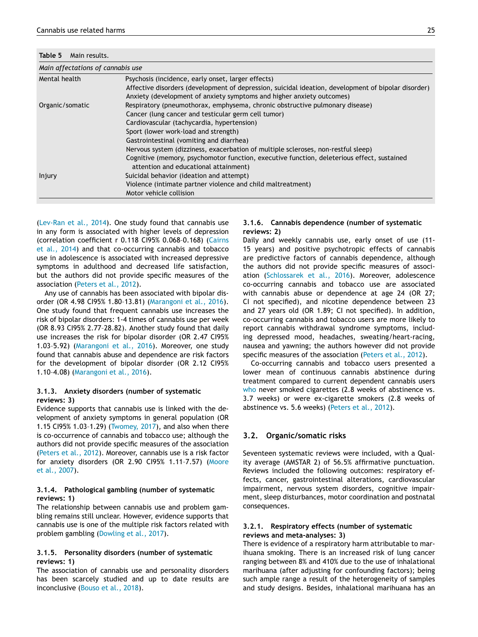<span id="page-24-0"></span>**Table 5** Main results.

| Main affectations of cannabis use |                                                                                                                                                                              |
|-----------------------------------|------------------------------------------------------------------------------------------------------------------------------------------------------------------------------|
| Mental health                     | Psychosis (incidence, early onset, larger effects)                                                                                                                           |
|                                   | Affective disorders (development of depression, suicidal ideation, development of bipolar disorder)<br>Anxiety (development of anxiety symptoms and higher anxiety outcomes) |
| Organic/somatic                   | Respiratory (pneumothorax, emphysema, chronic obstructive pulmonary disease)                                                                                                 |
|                                   | Cancer (lung cancer and testicular germ cell tumor)                                                                                                                          |
|                                   | Cardiovascular (tachycardia, hypertension)                                                                                                                                   |
|                                   | Sport (lower work-load and strength)                                                                                                                                         |
|                                   | Gastrointestinal (vomiting and diarrhea)                                                                                                                                     |
|                                   | Nervous system (dizziness, exacerbation of multiple scleroses, non-restful sleep)                                                                                            |
|                                   | Cognitive (memory, psychomotor function, executive function, deleterious effect, sustained<br>attention and educational attainment)                                          |
| Injury                            | Suicidal behavior (ideation and attempt)                                                                                                                                     |
|                                   | Violence (intimate partner violence and child maltreatment)                                                                                                                  |
|                                   | Motor vehicle collision                                                                                                                                                      |

[\(Lev-Ran](#page-32-0) et al., 2014). One study found that cannabis use in any form is associated with higher levels of depression (correlation coefficient r 0.118 CI95% [0.068–0.168\)](#page-31-0) (Cairns et al., 2014) and that co-occurring cannabis and tobacco use in adolescence is associated with increased depressive symptoms in adulthood and decreased life satisfaction, but the authors did not provide specific measures of the association [\(Peters](#page-33-0) et al., 2012).

Any use of cannabis has been associated with bipolar disorder (OR 4.98 CI95% 1.80–13.81) [\(Marangoni](#page-33-0) et al., 2016). One study found that frequent cannabis use increases the risk of bipolar disorders: 1-4 times of cannabis use per week (OR 8.93 CI95% 2.77–28.82). Another study found that daily use increases the risk for bipolar disorder (OR 2.47 CI95% 1.03–5.92) [\(Marangoni](#page-33-0) et al., 2016). Moreover, one study found that cannabis abuse and dependence are risk factors for the development of bipolar disorder (OR 2.12 CI95% 1.10–4.08) [\(Marangoni](#page-33-0) et al., 2016).

## **3.1.3. Anxiety disorders (number of systematic reviews: 3)**

Evidence supports that cannabis use is linked with the development of anxiety symptoms in general population (OR 1.15 CI95% 1.03–1.29) [\(Twomey,](#page-33-0) 2017), and also when there is co-occurrence of cannabis and tobacco use; although the authors did not provide specific measures of the association [\(Peters](#page-33-0) et al., 2012). Moreover, cannabis use is a risk factor for anxiety disorders (OR 2.90 CI95% [1.11–7.57\)](#page-33-0) (Moore et al., 2007).

## **3.1.4. Pathological gambling (number of systematic reviews: 1)**

The relationship between cannabis use and problem gambling remains still unclear. However, evidence supports that cannabis use is one of the multiple risk factors related with problem gambling [\(Dowling](#page-31-0) et al., 2017).

#### **3.1.5. Personality disorders (number of systematic reviews: 1)**

The association of cannabis use and personality disorders has been scarcely studied and up to date results are inconclusive [\(Bouso](#page-31-0) et al., 2018).

## **3.1.6. Cannabis dependence (number of systematic reviews: 2)**

Daily and weekly cannabis use, early onset of use (11- 15 years) and positive psychotropic effects of cannabis are predictive factors of cannabis dependence, although the authors did not provide specific measures of association [\(Schlossarek](#page-33-0) et al., 2016). Moreover, adolescence co-occurring cannabis and tobacco use are associated with cannabis abuse or dependence at age 24 (OR 27; CI not specified), and nicotine dependence between 23 and 27 years old (OR 1.89; CI not specified). In addition, co-occurring cannabis and tobacco users are more likely to report cannabis withdrawal syndrome symptoms, including depressed mood, headaches, sweating/heart-racing, nausea and yawning; the authors however did not provide specific measures of the association [\(Peters](#page-33-0) et al., 2012).

Co-occurring cannabis and tobacco users presented a lower mean of continuous cannabis abstinence during treatment compared to current dependent cannabis users [who](#page-34-0) never smoked cigarettes (2.8 weeks of abstinence vs. 3.7 weeks) or were ex-cigarette smokers (2.8 weeks of abstinence vs. 5.6 weeks) [\(Peters](#page-33-0) et al., 2012).

# **3.2. Organic/somatic risks**

Seventeen systematic reviews were included, with a Quality average (AMSTAR 2) of 56.5% affirmative punctuation. Reviews included the following outcomes: respiratory effects, cancer, gastrointestinal alterations, cardiovascular impairment, nervous system disorders, cognitive impairment, sleep disturbances, motor coordination and postnatal consequences.

## **3.2.1. Respiratory effects (number of systematic reviews and meta-analyses: 3)**

There is evidence of a respiratory harm attributable to marihuana smoking. There is an increased risk of lung cancer ranging between 8% and 410% due to the use of inhalational marihuana (after adjusting for confounding factors); being such ample range a result of the heterogeneity of samples and study designs. Besides, inhalational marihuana has an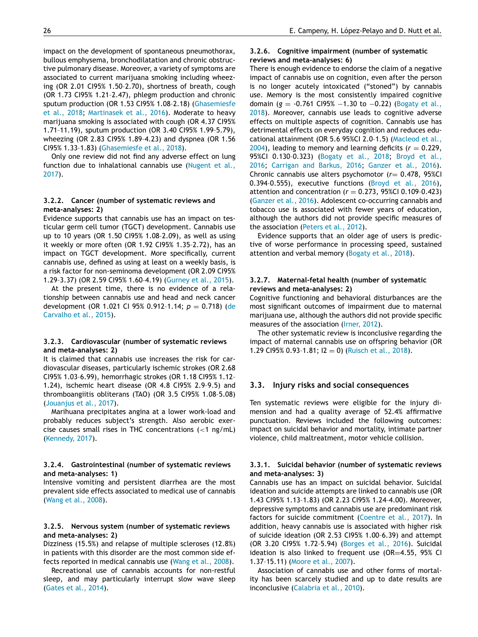impact on the development of spontaneous pneumothorax, bullous emphysema, bronchodilatation and chronic obstructive pulmonary disease. Moreover, a variety of symptoms are associated to current marijuana smoking including wheezing (OR 2.01 CI95% 1.50–2.70), shortness of breath, cough (OR 1.73 CI95% 1.21–2.47), phlegm production and chronic sputum production (OR 1.53 CI95% 1.08–2.18) [\(Ghasemiesfe](#page-32-0) et al., 2018; [Martinasek](#page-33-0) et al., 2016). Moderate to heavy marijuana smoking is associated with cough (OR 4.37 CI95% 1.71–11.19), sputum production (OR 3.40 CI95% 1.99–5.79), wheezing (OR 2.83 CI95% 1.89–4.23) and dyspnea (OR 1.56 CI95% 1.33–1.83) [\(Ghasemiesfe](#page-32-0) et al., 2018).

Only one review did not find any adverse effect on lung function due to [inhalational](#page-33-0) cannabis use (Nugent et al., 2017).

#### **3.2.2. Cancer (number of systematic reviews and meta-analyses: 2)**

Evidence supports that cannabis use has an impact on testicular germ cell tumor (TGCT) development. Cannabis use up to 10 years (OR 1.50 CI95% 1.08–2.09), as well as using it weekly or more often (OR 1.92 CI95% 1.35–2.72), has an impact on TGCT development. More specifically, current cannabis use, defined as using at least on a weekly basis, is a risk factor for non-seminoma development (OR 2.09 CI95% 1.29–3.37) (OR 2.59 CI95% 1.60–4.19) [\(Gurney](#page-32-0) et al., 2015).

At the present time, there is no evidence of a relationship between cannabis use and head and neck cancer [development](#page-31-0) (OR 1.021 CI 95% 0.912–1.14; *p* = 0.718) (de Carvalho et al., 2015).

#### **3.2.3. Cardiovascular (number of systematic reviews and meta-analyses: 2)**

It is claimed that cannabis use increases the risk for cardiovascular diseases, particularly ischemic strokes (OR 2.68 CI95% 1.03–6.99), hemorrhagic strokes (OR 1.18 CI95% 1.12– 1.24), ischemic heart disease (OR 4.8 CI95% 2.9–9.5) and thromboangiitis obliterans (TAO) (OR 3.5 CI95% 1.08–5.08) [\(Jouanjus](#page-32-0) et al., 2017).

Marihuana precipitates angina at a lower work-load and probably reduces subject's strength. Also aerobic exercise causes small rises in THC concentrations  $(<1$  ng/mL) [\(Kennedy,](#page-32-0) 2017).

#### **3.2.4. Gastrointestinal (number of systematic reviews and meta-analyses: 1)**

Intensive vomiting and persistent diarrhea are the most prevalent side effects associated to medical use of cannabis [\(Wang](#page-34-0) et al., 2008).

#### **3.2.5. Nervous system (number of systematic reviews and meta-analyses: 2)**

Dizziness (15.5%) and relapse of multiple scleroses (12.8%) in patients with this disorder are the most common side effects reported in medical cannabis use [\(Wang](#page-34-0) et al., 2008).

Recreational use of cannabis accounts for non-restful sleep, and may particularly interrupt slow wave sleep [\(Gates](#page-32-0) et al., 2014).

## **3.2.6. Cognitive impairment (number of systematic reviews and meta-analyses: 6)**

There is enough evidence to endorse the claim of a negative impact of cannabis use on cognition, even after the person is no longer acutely intoxicated ("stoned") by cannabis use. Memory is the most consistently impaired cognitive domain (*g* = -0.761 CI95% −1.30 to −0.22) (Bogaty et al., 2018). [Moreover,](#page-31-0) cannabis use leads to cognitive adverse effects on multiple aspects of cognition. Cannabis use has detrimental effects on everyday cognition and reduces educational [attainment](#page-32-0) (OR 5.6 95%CI 2.0–1.5) (Macleod et al.,  $2004$ ), leading to memory and learning deficits ( $r = 0.229$ , 95%CI [0.130–0.323\)](#page-31-0) [\(Bogaty](#page-31-0) et al., 2018; Broyd et al., 2016; [Carrigan](#page-31-0) and Barkus, 2016; [Ganzer](#page-32-0) et al., 2016). Chronic cannabis use alters psychomotor (*r*= 0.478, 95%CI 0.394–0.555), executive functions [\(Broyd](#page-31-0) et al., 2016), attention and concentration ( $r = 0.273$ , 95%CI 0.109-0.423) [\(Ganzer](#page-32-0) et al., 2016). Adolescent co-occurring cannabis and tobacco use is associated with fewer years of education, although the authors did not provide specific measures of the association [\(Peters](#page-33-0) et al., 2012).

Evidence supports that an older age of users is predictive of worse performance in processing speed, sustained attention and verbal memory [\(Bogaty](#page-31-0) et al., 2018).

## **3.2.7. Maternal-fetal health (number of systematic reviews and meta-analyses: 2)**

Cognitive functioning and behavioral disturbances are the most significant outcomes of impairment due to maternal marijuana use, although the authors did not provide specific measures of the association [\(Irner,](#page-32-0) 2012).

The other systematic review is inconclusive regarding the impact of maternal cannabis use on offspring behavior (OR 1.29 CI95% 0.93-1.81;  $12 = 0$ ) [\(Ruisch](#page-33-0) et al., 2018).

## **3.3. Injury risks and social consequences**

Ten systematic reviews were eligible for the injury dimension and had a quality average of 52.4% affirmative punctuation. Reviews included the following outcomes: impact on suicidal behavior and mortality, intimate partner violence, child maltreatment, motor vehicle collision.

#### **3.3.1. Suicidal behavior (number of systematic reviews and meta-analyses: 3)**

Cannabis use has an impact on suicidal behavior. Suicidal ideation and suicide attempts are linked to cannabis use (OR 1.43 CI95% 1.13–1.83) (OR 2.23 CI95% 1.24–4.00). Moreover, depressive symptoms and cannabis use are predominant risk factors for suicide commitment [\(Coentre](#page-31-0) et al., 2017). In addition, heavy cannabis use is associated with higher risk of suicide ideation (OR 2.53 CI95% 1.00–6.39) and attempt (OR 3.20 CI95% 1.72–5.94) [\(Borges](#page-31-0) et al., 2016). Suicidal ideation is also linked to frequent use (OR=4.55, 95% CI 1.37–15.11) [\(Moore](#page-33-0) et al., 2007).

Association of cannabis use and other forms of mortality has been scarcely studied and up to date results are inconclusive [\(Calabria](#page-31-0) et al., 2010).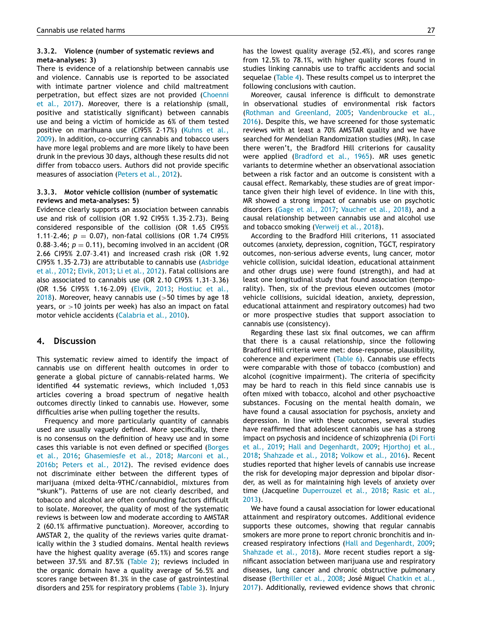#### **3.3.2. Violence (number of systematic reviews and meta-analyses: 3)**

There is evidence of a relationship between cannabis use and violence. Cannabis use is reported to be associated with intimate partner violence and child maltreatment [perpetration,](#page-31-0) but effect sizes are not provided (Choenni et al., 2017). Moreover, there is a relationship (small, positive and statistically significant) between cannabis use and being a victim of homicide as 6% of them tested positive on marihuana use (CI95% 2–17%) (Kuhns et al., 2009). In addition, [co-occurring](#page-32-0) cannabis and tobacco users have more legal problems and are more likely to have been drunk in the previous 30 days, although these results did not differ from tobacco users. Authors did not provide specific measures of association [\(Peters](#page-33-0) et al., 2012).

#### **3.3.3. Motor vehicle collision (number of systematic reviews and meta-analyses: 5)**

Evidence clearly supports an association between cannabis use and risk of collision (OR 1.92 CI95% 1.35–2.73). Being considered responsible of the collision (OR 1.65 CI95% 1.11-2.46;  $p = 0.07$ ), non-fatal collisions (OR 1.74 CI95%) 0.88-3.46;  $p = 0.11$ , becoming involved in an accident (OR 2.66 CI95% 2.07–3.41) and increased crash risk (OR 1.92 CI95% 1.35–2.73) are [attributable](#page-31-0) to cannabis use (Asbridge et al., 2012; [Elvik,](#page-31-0) 2013; Li et al., [2012\)](#page-32-0). Fatal collisions are also associated to cannabis use (OR 2.10 CI95% 1.31–3.36) (OR 1.56 CI95% [1.16–2.09\)](#page-32-0) [\(Elvik,](#page-31-0) 2013; Hostiuc et al.,  $2018$ ). Moreover, heavy cannabis use (>50 times by age 18 years, or  $>10$  joints per week) has also an impact on fatal motor vehicle accidents [\(Calabria](#page-31-0) et al., 2010).

## **4. Discussion**

This systematic review aimed to identify the impact of cannabis use on different health outcomes in order to generate a global picture of cannabis-related harms. We identified 44 systematic reviews, which included 1,053 articles covering a broad spectrum of negative health outcomes directly linked to cannabis use. However, some difficulties arise when pulling together the results.

Frequency and more particularly quantity of cannabis used are usually vaguely defined. More specifically, there is no consensus on the definition of heavy use and in some cases this variable is not even defined or specified (Borges et al., 2016; [Ghasemiesfe](#page-31-0) et al., 2018; Marconi et al., 2016b; [Peters](#page-33-0) et al., 2012). The revised evidence does not discriminate either between the different types of marijuana (mixed delta-9THC/cannabidiol, mixtures from "skunk"). Patterns of use are not clearly described, and tobacco and alcohol are often confounding factors difficult to isolate. Moreover, the quality of most of the systematic reviews is between low and moderate according to AMSTAR 2 (60.1% affirmative punctuation). Moreover, according to AMSTAR 2, the quality of the reviews varies quite dramatically within the 3 studied domains. Mental health reviews have the highest quality average (65.1%) and scores range between 37.5% and 87.5% [\(Table](#page-4-0) 2); reviews included in the organic domain have a quality average of 56.5% and scores range between 81.3% in the case of gastrointestinal disorders and 25% for respiratory problems [\(Table](#page-11-0) 3). Injury

has the lowest quality average (52.4%), and scores range from 12.5% to 78.1%, with higher quality scores found in studies linking cannabis use to traffic accidents and social sequelae [\(Table](#page-20-0) 4). These results compel us to interpret the following conclusions with caution.

Moreover, causal inference is difficult to demonstrate in observational studies of environmental risk factors (Rothman and [Greenland,](#page-33-0) 2005; [Vandenbroucke](#page-33-0) et al., 2016). Despite this, we have screened for those systematic reviews with at least a 70% AMSTAR quality and we have searched for Mendelian Randomization studies (MR). In case there weren't, the Bradford Hill criterions for causality were applied [\(Bradford](#page-31-0) et al., 1965). MR uses genetic variants to determine whether an observational association between a risk factor and an outcome is consistent with a causal effect. Remarkably, these studies are of great importance given their high level of evidence. In line with this, MR showed a strong impact of cannabis use on psychotic disorders [\(Gage](#page-32-0) et al., 2017; [Vaucher](#page-33-0) et al., 2018), and a causal relationship between cannabis use and alcohol use and tobacco smoking [\(Verweij](#page-33-0) et al., 2018).

According to the Bradford Hill criterions, 11 associated outcomes (anxiety, depression, cognition, TGCT, respiratory outcomes, non-serious adverse events, lung cancer, motor vehicle collision, suicidal ideation, educational attainment and other drugs use) were found (strength), and had at least one longitudinal study that found association (temporality). Then, six of the previous eleven outcomes (motor vehicle collisions, suicidal ideation, anxiety, depression, educational attainment and respiratory outcomes) had two or more prospective studies that support association to cannabis use (consistency).

Regarding these last six final outcomes, we can affirm that there is a causal relationship, since the following Bradford Hill criteria were met: dose-response, plausibility, coherence and experiment [\(Table](#page-27-0) 6). Cannabis use effects were comparable with those of tobacco (combustion) and alcohol (cognitive impairment). The criteria of specificity may be hard to reach in this field since cannabis use is often mixed with tobacco, alcohol and other psychoactive substances. Focusing on the mental health domain, we have found a causal association for psychosis, anxiety and depression. In line with these outcomes, several studies have reaffirmed that adolescent cannabis use has a strong impact on psychosis and incidence of [schizophrenia](#page-31-0) (Di Forti et al., 2019; Hall and [Degenhardt,](#page-32-0) 2009; Hjorthoj et al., 2018; [Shahzade](#page-33-0) et al., 2018; [Volkow](#page-34-0) et al., 2016). Recent studies reported that higher levels of cannabis use increase the risk for developing major depression and bipolar disorder, as well as for maintaining high levels of anxiety over time (Jacqueline [Duperrouzel](#page-32-0) et al., 2018; Rasic et al., 2013).

We have found a causal association for lower educational attainment and respiratory outcomes. Additional evidence supports these outcomes, showing that regular cannabis smokers are more prone to report chronic bronchitis and increased respiratory infections (Hall and [Degenhardt,](#page-32-0) 2009; [Shahzade](#page-33-0) et al., 2018). More recent studies report a significant association between marijuana use and respiratory diseases, lung cancer and chronic obstructive pulmonary disease [\(Berthiller](#page-31-0) et al., 2008; José Miguel Chatkin et al., 2017). [Additionally,](#page-32-0) reviewed evidence shows that chronic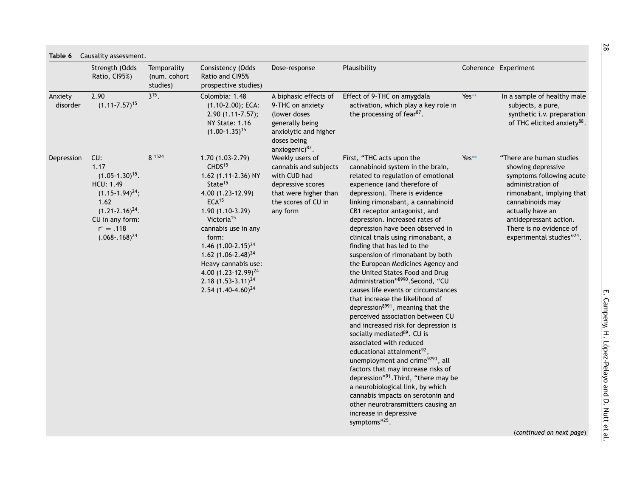<span id="page-27-0"></span>

|                     | Strength (Odds<br>Ratio, CI95%)                                                                                                                                            | Temporality<br>(num. cohort<br>studies) | Consistency (Odds<br>Ratio and CI95%<br>prospective studies)                                                                                                                                                                                                                                                                                                                            | Dose-response                                                                                                                              | Plausibility                                                                                                                                                                                                                                                                                                                                                                                                                                                                                                                                                                                                                                                                                                                                                                                                                                                                                                                                                                                                                                                                                                                                       |         | Coherence Experiment                                                                                                                                                                                                                                  |
|---------------------|----------------------------------------------------------------------------------------------------------------------------------------------------------------------------|-----------------------------------------|-----------------------------------------------------------------------------------------------------------------------------------------------------------------------------------------------------------------------------------------------------------------------------------------------------------------------------------------------------------------------------------------|--------------------------------------------------------------------------------------------------------------------------------------------|----------------------------------------------------------------------------------------------------------------------------------------------------------------------------------------------------------------------------------------------------------------------------------------------------------------------------------------------------------------------------------------------------------------------------------------------------------------------------------------------------------------------------------------------------------------------------------------------------------------------------------------------------------------------------------------------------------------------------------------------------------------------------------------------------------------------------------------------------------------------------------------------------------------------------------------------------------------------------------------------------------------------------------------------------------------------------------------------------------------------------------------------------|---------|-------------------------------------------------------------------------------------------------------------------------------------------------------------------------------------------------------------------------------------------------------|
| Anxiety<br>disorder | 2.90<br>$(1.11 - 7.57)^{15}$                                                                                                                                               | $3^{15}$ .                              | Colombia: 1.48<br>$(1.10-2.00)$ ; ECA:<br>$2.90(1.11-7.57);$<br><b>NY State: 1.16</b><br>$(1.00-1.35)^{15}$                                                                                                                                                                                                                                                                             | A biphasic effects of<br>9-THC on anxiety<br>(lower doses<br>generally being<br>anxiolytic and higher<br>doses being<br>anxiogenic) $87$ . | Effect of 9-THC on amygdala<br>activation, which play a key role in<br>the processing of fear <sup>87</sup> .                                                                                                                                                                                                                                                                                                                                                                                                                                                                                                                                                                                                                                                                                                                                                                                                                                                                                                                                                                                                                                      | Yes**   | In a sample of healthy male<br>subjects, a pure,<br>synthetic i.v. preparation<br>of THC elicited anxiety <sup>88</sup> .                                                                                                                             |
| Depression          | CU:<br>1.17<br>$(1.05-1.30)^{15}$ .<br><b>HCU: 1.49</b><br>$(1.15-1.94)^{24}$ ;<br>1.62<br>$(1.21 - 2.16)^{24}$ .<br>CU in any form:<br>$r^* = .118$<br>$(.068-.168)^{24}$ | 8 1524                                  | $1.70(1.03-2.79)$<br>CHDS <sup>15</sup><br>1.62 (1.11-2.36) NY<br>State <sup>15</sup><br>4.00 (1.23-12.99)<br>ECA <sup>15</sup><br>$1.90(1.10-3.29)$<br>Victoria <sup>15</sup><br>cannabis use in any<br>form:<br>1.46 $(1.00-2.15)^{24}$<br>1.62 $(1.06 - 2.48)^{24}$<br>Heavy cannabis use:<br>4.00 (1.23-12.99) <sup>24</sup><br>$2.18(1.53-3.11)^{24}$<br>2.54 $(1.40 - 4.60)^{24}$ | Weekly users of<br>cannabis and subjects<br>with CUD had<br>depressive scores<br>that were higher than<br>the scores of CU in<br>any form  | First, "THC acts upon the<br>cannabinoid system in the brain,<br>related to regulation of emotional<br>experience (and therefore of<br>depression). There is evidence<br>linking rimonabant, a cannabinoid<br>CB1 receptor antagonist, and<br>depression. Increased rates of<br>depression have been observed in<br>clinical trials using rimonabant, a<br>finding that has led to the<br>suspension of rimonabant by both<br>the European Medicines Agency and<br>the United States Food and Drug<br>Administration"8990.Second, "CU<br>causes life events or circumstances<br>that increase the likelihood of<br>depression <sup>8991</sup> , meaning that the<br>perceived association between CU<br>and increased risk for depression is<br>socially mediated <sup>89</sup> . CU is<br>associated with reduced<br>educational attainment <sup>92</sup> ,<br>unemployment and crime <sup>9293</sup> , all<br>factors that may increase risks of<br>depression"91. Third, "there may be<br>a neurobiological link, by which<br>cannabis impacts on serotonin and<br>other neurotransmitters causing an<br>increase in depressive<br>symptoms"25. | $Yes**$ | "There are human studies<br>showing depressive<br>symptoms following acute<br>administration of<br>rimonabant, implying that<br>cannabinoids may<br>actually have an<br>antidepressant action.<br>There is no evidence of<br>experimental studies"24. |
|                     |                                                                                                                                                                            |                                         |                                                                                                                                                                                                                                                                                                                                                                                         |                                                                                                                                            |                                                                                                                                                                                                                                                                                                                                                                                                                                                                                                                                                                                                                                                                                                                                                                                                                                                                                                                                                                                                                                                                                                                                                    |         | (continued on next page)                                                                                                                                                                                                                              |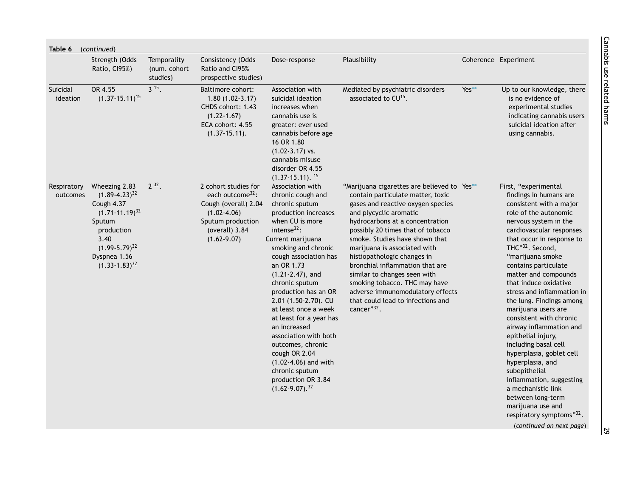| Table 6 (continued)     |                                                                                                                                                                            |                                         |                                                                                                                                                           |                                                                                                                                                                                                                                                                                                                                                                                                                                                                                                                                            |                                                                                                                                                                                                                                                                                                                                                                                                                                                                                                                     |       |                                                                                                                                                                                                                                                                                                                                                                                                                                                                                                                                                                                                                                                                                    |  |  |
|-------------------------|----------------------------------------------------------------------------------------------------------------------------------------------------------------------------|-----------------------------------------|-----------------------------------------------------------------------------------------------------------------------------------------------------------|--------------------------------------------------------------------------------------------------------------------------------------------------------------------------------------------------------------------------------------------------------------------------------------------------------------------------------------------------------------------------------------------------------------------------------------------------------------------------------------------------------------------------------------------|---------------------------------------------------------------------------------------------------------------------------------------------------------------------------------------------------------------------------------------------------------------------------------------------------------------------------------------------------------------------------------------------------------------------------------------------------------------------------------------------------------------------|-------|------------------------------------------------------------------------------------------------------------------------------------------------------------------------------------------------------------------------------------------------------------------------------------------------------------------------------------------------------------------------------------------------------------------------------------------------------------------------------------------------------------------------------------------------------------------------------------------------------------------------------------------------------------------------------------|--|--|
|                         | Strength (Odds<br>Ratio, CI95%)                                                                                                                                            | Temporality<br>(num. cohort<br>studies) | Consistency (Odds<br>Ratio and C195%<br>prospective studies)                                                                                              | Dose-response                                                                                                                                                                                                                                                                                                                                                                                                                                                                                                                              | Plausibility                                                                                                                                                                                                                                                                                                                                                                                                                                                                                                        |       | Coherence Experiment                                                                                                                                                                                                                                                                                                                                                                                                                                                                                                                                                                                                                                                               |  |  |
| Suicidal<br>ideation    | OR 4.55<br>$(1.37-15.11)^{15}$                                                                                                                                             | $3^{15}$                                | <b>Baltimore cohort:</b><br>$1.80(1.02-3.17)$<br>CHDS cohort: 1.43<br>$(1.22 - 1.67)$<br>ECA cohort: 4.55<br>$(1.37-15.11).$                              | Association with<br>suicidal ideation<br>increases when<br>cannabis use is<br>greater: ever used<br>cannabis before age<br>16 OR 1.80<br>$(1.02 - 3.17)$ vs.<br>cannabis misuse<br>disorder OR 4.55<br>$(1.37-15.11).$ <sup>15</sup>                                                                                                                                                                                                                                                                                                       | Mediated by psychiatric disorders<br>associated to CU <sup>15</sup> .                                                                                                                                                                                                                                                                                                                                                                                                                                               | Yes** | Up to our knowledge, there<br>is no evidence of<br>experimental studies<br>indicating cannabis users<br>suicidal ideation after<br>using cannabis.                                                                                                                                                                                                                                                                                                                                                                                                                                                                                                                                 |  |  |
| Respiratory<br>outcomes | Wheezing 2.83<br>$(1.89 - 4.23)^{32}$<br>Cough 4.37<br>$(1.71 - 11.19)^{32}$<br>Sputum<br>production<br>3.40<br>$(1.99-5.79)^{32}$<br>Dyspnea 1.56<br>$(1.33 - 1.83)^{32}$ | $2^{32}$ .                              | 2 cohort studies for<br>each outcome <sup>32</sup> :<br>Cough (overall) 2.04<br>$(1.02 - 4.06)$<br>Sputum production<br>(overall) 3.84<br>$(1.62 - 9.07)$ | Association with<br>chronic cough and<br>chronic sputum<br>production increases<br>when CU is more<br>intense $32$ :<br>Current marijuana<br>smoking and chronic<br>cough association has<br>an OR 1.73<br>$(1.21 - 2.47)$ , and<br>chronic sputum<br>production has an OR<br>2.01 (1.50-2.70). CU<br>at least once a week<br>at least for a year has<br>an increased<br>association with both<br>outcomes, chronic<br>cough OR 2.04<br>$(1.02 - 4.06)$ and with<br>chronic sputum<br>production OR 3.84<br>$(1.62 - 9.07).$ <sup>32</sup> | "Marijuana cigarettes are believed to Yes**<br>contain particulate matter, toxic<br>gases and reactive oxygen species<br>and plycyclic aromatic<br>hydrocarbons at a concentration<br>possibly 20 times that of tobacco<br>smoke. Studies have shown that<br>marijuana is associated with<br>histiopathologic changes in<br>bronchial inflammation that are<br>similar to changes seen with<br>smoking tobacco. THC may have<br>adverse immunomodulatory effects<br>that could lead to infections and<br>cancer"32. |       | First, "experimental<br>findings in humans are<br>consistent with a major<br>role of the autonomic<br>nervous system in the<br>cardiovascular responses<br>that occur in response to<br>THC"32. Second,<br>"marijuana smoke<br>contains particulate<br>matter and compounds<br>that induce oxidative<br>stress and inflammation in<br>the lung. Findings among<br>marijuana users are<br>consistent with chronic<br>airway inflammation and<br>epithelial injury,<br>including basal cell<br>hyperplasia, goblet cell<br>hyperplasia, and<br>subepithelial<br>inflammation, suggesting<br>a mechanistic link<br>between long-term<br>marijuana use and<br>respiratory symptoms"32. |  |  |
|                         |                                                                                                                                                                            |                                         |                                                                                                                                                           |                                                                                                                                                                                                                                                                                                                                                                                                                                                                                                                                            |                                                                                                                                                                                                                                                                                                                                                                                                                                                                                                                     |       | (continued on next page)                                                                                                                                                                                                                                                                                                                                                                                                                                                                                                                                                                                                                                                           |  |  |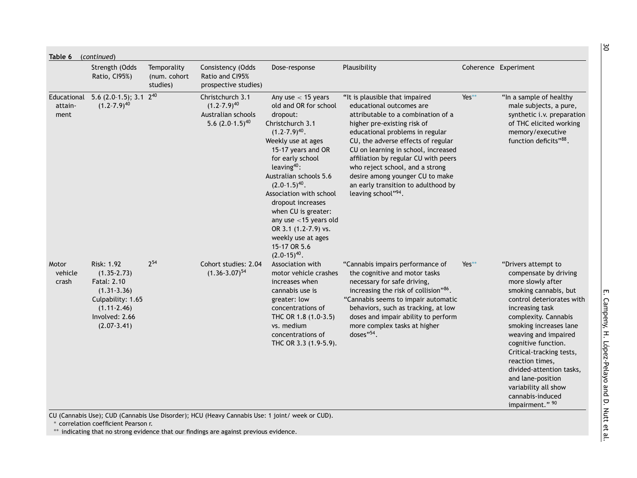|                           | Strength (Odds<br>Ratio, CI95%)                                                                                                              | Temporality<br>(num. cohort<br>studies) | Consistency (Odds<br>Ratio and CI95%<br>prospective studies)                         | Dose-response                                                                                                                                                                                                                                                                                                                                                                                                                 | Plausibility                                                                                                                                                                                                                                                                                                                                                                                                               |       | Coherence Experiment                                                                                                                                                                                                                                                                                                                                                                                       |
|---------------------------|----------------------------------------------------------------------------------------------------------------------------------------------|-----------------------------------------|--------------------------------------------------------------------------------------|-------------------------------------------------------------------------------------------------------------------------------------------------------------------------------------------------------------------------------------------------------------------------------------------------------------------------------------------------------------------------------------------------------------------------------|----------------------------------------------------------------------------------------------------------------------------------------------------------------------------------------------------------------------------------------------------------------------------------------------------------------------------------------------------------------------------------------------------------------------------|-------|------------------------------------------------------------------------------------------------------------------------------------------------------------------------------------------------------------------------------------------------------------------------------------------------------------------------------------------------------------------------------------------------------------|
| attain-<br>ment           | Educational 5.6 (2.0-1.5); 3.1 2 <sup>40</sup><br>$(1.2 - 7.9)^{40}$                                                                         |                                         | Christchurch 3.1<br>$(1.2 - 7.9)^{40}$<br>Australian schools<br>5.6 $(2.0-1.5)^{40}$ | Any use $<$ 15 years<br>old and OR for school<br>dropout:<br>Christchurch 3.1<br>$(1.2 - 7.9)^{40}$ .<br>Weekly use at ages<br>15-17 years and OR<br>for early school<br>leaving $40$ :<br>Australian schools 5.6<br>$(2.0-1.5)^{40}$ .<br>Association with school<br>dropout increases<br>when CU is greater:<br>any use $<$ 15 years old<br>OR 3.1 (1.2-7.9) vs.<br>weekly use at ages<br>15-17 OR 5.6<br>$(2.0-15)^{40}$ . | "It is plausible that impaired<br>educational outcomes are<br>attributable to a combination of a<br>higher pre-existing risk of<br>educational problems in regular<br>CU, the adverse effects of regular<br>CU on learning in school, increased<br>affiliation by regular CU with peers<br>who reject school, and a strong<br>desire among younger CU to make<br>an early transition to adulthood by<br>leaving school"94. | Yes** | "In a sample of healthy<br>male subjects, a pure,<br>synthetic i.v. preparation<br>of THC elicited working<br>memory/executive<br>function deficits"88.                                                                                                                                                                                                                                                    |
| Motor<br>vehicle<br>crash | Risk: 1.92<br>$(1.35 - 2.73)$<br>Fatal: 2.10<br>$(1.31 - 3.36)$<br>Culpability: 1.65<br>$(1.11 - 2.46)$<br>Involved: 2.66<br>$(2.07 - 3.41)$ | $2^{54}$                                | Cohort studies: 2.04<br>$(1.36 - 3.07)^{54}$                                         | Association with<br>motor vehicle crashes<br>increases when<br>cannabis use is<br>greater: low<br>concentrations of<br>THC OR 1.8 (1.0-3.5)<br>vs. medium<br>concentrations of<br>THC OR 3.3 (1.9-5.9).                                                                                                                                                                                                                       | "Cannabis impairs performance of<br>the cognitive and motor tasks<br>necessary for safe driving,<br>increasing the risk of collision"86.<br>"Cannabis seems to impair automatic<br>behaviors, such as tracking, at low<br>doses and impair ability to perform<br>more complex tasks at higher<br>doses"54.                                                                                                                 | Yes** | "Drivers attempt to<br>compensate by driving<br>more slowly after<br>smoking cannabis, but<br>control deteriorates with<br>increasing task<br>complexity. Cannabis<br>smoking increases lane<br>weaving and impaired<br>cognitive function.<br>Critical-tracking tests,<br>reaction times,<br>divided-attention tasks,<br>and lane-position<br>variability all show<br>cannabis-induced<br>impairment." 90 |

E. Campeny, H. López-Pelayo and D. Nutt et

 $\overline{8}$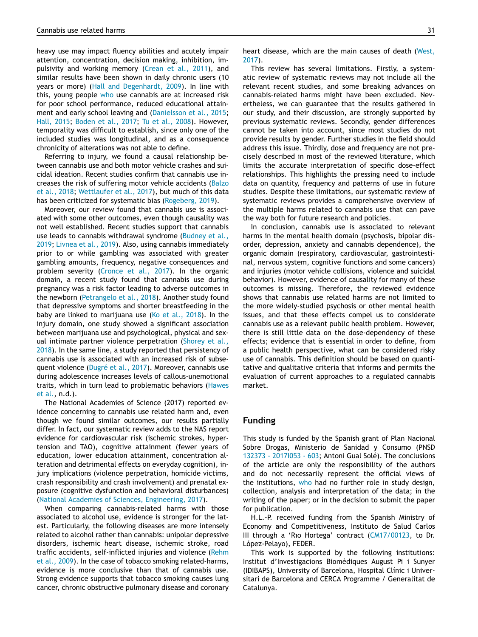heavy use may impact fluency abilities and acutely impair attention, concentration, decision making, inhibition, impulsivity and working memory [\(Crean](#page-31-0) et al., 2011), and similar results have been shown in daily chronic users (10 years or more) (Hall and [Degenhardt,](#page-32-0) 2009). In line with this, young people [who](#page-34-0) use cannabis are at increased risk for poor school performance, reduced educational attainment and early school leaving and [\(Danielsson](#page-31-0) et al., 2015; Hall, [2015;](#page-32-0) [Boden](#page-32-0) et al., 2017; Tu et al., [2008\)](#page-33-0). However, temporality was difficult to establish, since only one of the included studies was longitudinal, and as a consequence chronicity of alterations was not able to define.

Referring to injury, we found a causal relationship between cannabis use and both motor vehicle crashes and suicidal ideation. Recent studies confirm that cannabis use increases the risk of suffering motor vehicle accidents (Balzo et al., 2018; [Wettlaufer](#page-31-0) et al., 2017), but much of this data has been criticized for systematic bias [\(Rogeberg,](#page-33-0) 2019).

Moreover, our review found that cannabis use is associated with some other outcomes, even though causality was not well established. Recent studies support that cannabis use leads to cannabis withdrawal syndrome (Budney et al., 2019; [Livnea](#page-33-0) et al., 2019). Also, using cannabis [immediately](#page-31-0) prior to or while gambling was associated with greater gambling amounts, frequency, negative consequences and problem severity [\(Cronce](#page-31-0) et al., 2017). In the organic domain, a recent study found that cannabis use during pregnancy was a risk factor leading to adverse outcomes in the newborn [\(Petrangelo](#page-33-0) et al., 2018). Another study found that depressive symptoms and shorter breastfeeding in the baby are linked to marijuana use (Ko et al., [2018\)](#page-32-0). In the injury domain, one study showed a significant association between marijuana use and psychological, physical and sexual intimate partner violence [perpetration](#page-33-0) (Shorey et al., 2018). In the same line, a study reported that persistency of cannabis use is associated with an increased risk of subsequent violence [\(Dugré et](#page-31-0) al., 2017). Moreover, cannabis use during adolescence increases levels of callous-unemotional traits, which in turn lead to [problematic](#page-32-0) behaviors (Hawes et al., n.d.).

The National Academies of Science (2017) reported evidence concerning to cannabis use related harm and, even though we found similar outcomes, our results partially differ. In fact, our systematic review adds to the NAS report evidence for cardiovascular risk (ischemic strokes, hypertension and TAO), cognitive attainment (fewer years of education, lower education attainment, concentration alteration and detrimental effects on everyday cognition), injury implications (violence perpetration, homicide victims, crash responsibility and crash involvement) and prenatal exposure (cognitive dysfunction and behavioral disturbances) (National Academies of Sciences, [Engineering,](#page-33-0) 2017).

When comparing cannabis-related harms with those associated to alcohol use, evidence is stronger for the latest. Particularly, the following diseases are more intensely related to alcohol rather than cannabis: unipolar depressive disorders, ischemic heart disease, ischemic stroke, road traffic accidents, self-inflicted injuries and violence (Rehm et al., 2009). In the case of tobacco smoking [related-harms,](#page-33-0) evidence is more conclusive than that of cannabis use. Strong evidence supports that tobacco smoking causes lung cancer, chronic obstructive pulmonary disease and coronary heart [disease,](#page-34-0) which are the main causes of death (West, 2017).

This review has several limitations. Firstly, a systematic review of systematic reviews may not include all the relevant recent studies, and some breaking advances on cannabis-related harms might have been excluded. Nevertheless, we can guarantee that the results gathered in our study, and their discussion, are strongly supported by previous systematic reviews. Secondly, gender differences cannot be taken into account, since most studies do not provide results by gender. Further studies in the field should address this issue. Thirdly, dose and frequency are not precisely described in most of the reviewed literature, which limits the accurate interpretation of specific dose-effect relationships. This highlights the pressing need to include data on quantity, frequency and patterns of use in future studies. Despite these limitations, our systematic review of systematic reviews provides a comprehensive overview of the multiple harms related to cannabis use that can pave the way both for future research and policies.

In conclusion, cannabis use is associated to relevant harms in the mental health domain (psychosis, bipolar disorder, depression, anxiety and cannabis dependence), the organic domain (respiratory, cardiovascular, gastrointestinal, nervous system, cognitive functions and some cancers) and injuries (motor vehicle collisions, violence and suicidal behavior). However, evidence of causality for many of these outcomes is missing. Therefore, the reviewed evidence shows that cannabis use related harms are not limited to the more widely-studied psychosis or other mental health issues, and that these effects compel us to considerate cannabis use as a relevant public health problem. However, there is still little data on the dose-dependency of these effects; evidence that is essential in order to define, from a public health perspective, what can be considered risky use of cannabis. This definition should be based on quantitative and qualitative criteria that informs and permits the evaluation of current approaches to a regulated cannabis market.

#### **Funding**

This study is funded by the Spanish grant of Plan Nacional Sobre Drogas, Ministerio de Sanidad y Consumo (PNSD 132373 - 2017I053 - 603; Antoni Gual Solé). The conclusions of the article are only the responsibility of the authors and do not necessarily represent the official views of the institutions, [who](#page-34-0) had no further role in study design, collection, analysis and interpretation of the data; in the writing of the paper; or in the decision to submit the paper for publication.

H.L.-P. received funding from the Spanish Ministry of Economy and Competitiveness, Instituto de Salud Carlos III through a 'Rıo Hortega' contract (CM17/00123, to Dr. López-Pelayo), FEDER.

This work is supported by the following institutions: Institut d'Investigacions Biomèdiques August Pi i Sunyer (IDIBAPS), University of Barcelona, Hospital Clínic i Universitari de Barcelona and CERCA Programme / Generalitat de Catalunya.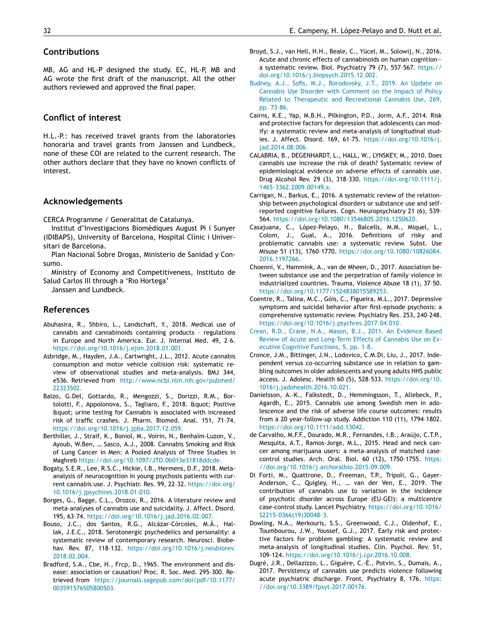## <span id="page-31-0"></span>**Contributions**

MB, AG and HL-P designed the study. EC, HL-P, MB and AG wrote the first draft of the manuscript. All the other authors reviewed and approved the final paper.

# **Conflict of interest**

H.L.-P.: has received travel grants from the laboratories honoraria and travel grants from Janssen and Lundbeck, none of these COI are related to the current research. The other authors declare that they have no known conflicts of interest.

## **Acknowledgements**

CERCA Programme / Generalitat de Catalunya.

Institut d'Investigacions Biomèdiques August Pi i Sunyer (IDIBAPS), University of Barcelona, Hospital Clínic i Universitari de Barcelona.

Plan Nacional Sobre Drogas, Ministerio de Sanidad y Consumo.

Ministry of Economy and Competitiveness, Instituto de Salud Carlos III through a 'Rıo Hortega'

Janssen and Lundbeck.

## **References**

- Abuhasira, R., Shbiro, L., Landschaft, Y., 2018. Medical use of cannabis and cannabinoids containing products – regulations in Europe and North America. Eur. J. Internal Med. 49, 2–6. [https://doi.org/10.1016/j.ejim.2018.01.001.](https://doi.org/10.1016/j.ejim.2018.01.001)
- Asbridge, M., Hayden, J.A., Cartwright, J.L., 2012. Acute cannabis consumption and motor vehicle collision risk: systematic review of observational studies and meta-analysis. BMJ 344, e536. Retrieved from [http://www.ncbi.nlm.nih.gov/pubmed/](http://www.ncbi.nlm.nih.gov/pubmed/22323502) 22323502.
- Balzo, G.Del, Gottardo, R., Mengozzi, S., Dorizzi, R.M., Bortolotti, F., Appolonova, S., Tagliaro, F., 2018. " Positive Equot; urine testing for Cannabis is associated with increased risk of traffic crashes. J. Pharm. Biomed. Anal. 151, 71–74. [https://doi.org/10.1016/j.jpba.2017.12.059.](https://doi.org/10.1016/j.jpba.2017.12.059)
- Berthiller, J., Straif, K., Boniol, M., Voirin, N., Benhaïm-Luzon, V., Ayoub, W.Ben, … Sasco, A.J., 2008. Cannabis Smoking and Risk of Lung Cancer in Men: A Pooled Analysis of Three Studies in Maghreb [https://doi.org/10.1097/JTO.0b013e31818ddcde.](https://doi.org/10.1097/JTO.0b013e31818ddcde)
- Bogaty, S.E.R., Lee, R.S.C., Hickie, I.B., Hermens, D.F., 2018. Metaanalysis of neurocognition in young psychosis patients with current cannabis use. J. Psychiatr. Res. 99, 22–32. https://doi.org/ [10.1016/j.jpsychires.2018.01.010.](https://doi.org/10.1016/j.jpsychires.2018.01.010)
- Borges, G., Bagge, C.L., Orozco, R., 2016. A literature review and meta-analyses of cannabis use and suicidality. J. Affect. Disord. 195, 63–74. [https://doi.org/10.1016/j.jad.2016.02.007.](https://doi.org/10.1016/j.jad.2016.02.007)
- Bouso, J.C., dos Santos, R.G., Alcázar-Córcoles, M.Á., Hallak, J.E.C., 2018. Serotonergic psychedelics and personality: a systematic review of contemporary research. Neurosci. Biobehav. Rev. 87, 118–132. [https://doi.org/10.1016/j.neubiorev.](https://doi.org/10.1016/j.neubiorev.2018.02.004) 2018.02.004.
- Bradford, S.A., Cbe, H., Frcp, D., 1965. The environment and disease: association or causation? Proc. R. Soc. Med. 295–300. Retrieved from [https://journals.sagepub.com/doi/pdf/10.1177/](https://journals.sagepub.com/doi/pdf/10.1177/003591576505800503) 003591576505800503.
- Broyd, S.J., van Hell, H.H., Beale, C., Yücel, M., Solowij, N., 2016. Acute and chronic effects of cannabinoids on human cognition a systematic review. Biol. Psychiatry 79 (7), 557–567. https:// [doi.org/10.1016/j.biopsych.2015.12.002.](https://doi.org/10.1016/j.biopsych.2015.12.002)
- [Budney,](http://refhub.elsevier.com/S0924-977X(20)30062-6/sbref0010) A.J., [Sofis,](http://refhub.elsevier.com/S0924-977X(20)30062-6/sbref0010) M.J., [Borodovsky,](http://refhub.elsevier.com/S0924-977X(20)30062-6/sbref0010) J.T., 2019. An Update on Cannabis Use Disorder with Comment on the Impact of Policy Related to Therapeutic and [Recreational](http://refhub.elsevier.com/S0924-977X(20)30062-6/sbref0010) Cannabis Use, 269, pp. 73–86.
- Cairns, K.E., Yap, M.B.H., Pilkington, P.D., Jorm, A.F., 2014. Risk and protective factors for depression that adolescents can modify: a systematic review and meta-analysis of longitudinal studies. J. Affect. Disord. 169, 61–75. [https://doi.org/10.1016/j.](https://doi.org/10.1016/j.jad.2014.08.006) jad.2014.08.006.
- CALABRIA, B., DEGENHARDT, L., HALL, W., LYNSKEY, M., 2010. Does cannabis use increase the risk of death? Systematic review of epidemiological evidence on adverse effects of cannabis use. Drug Alcohol Rev. 29 (3), 318–330. [https://doi.org/10.1111/j.](https://doi.org/10.1111/j.1465-3362.2009.00149.x) 1465-3362.2009.00149.x.
- Carrigan, N., Barkus, E., 2016. A systematic review of the relationship between psychological disorders or substance use and selfreported cognitive failures. Cogn. Neuropsychiatry 21 (6), 539– 564. [https://doi.org/10.1080/13546805.2016.1250620.](https://doi.org/10.1080/13546805.2016.1250620)
- Casajuana, C., López-Pelayo, H., Balcells, M.M., Miquel, L., Colom, J., Gual, A., 2016. Definitions of risky and problematic cannabis use: a systematic review. Subst. Use Misuse 51 (13), 1760–1770. [https://doi.org/10.1080/10826084.](https://doi.org/10.1080/10826084.2016.1197266) 2016.1197266.
- Choenni, V., Hammink, A., van de Mheen, D., 2017. Association between substance use and the perpetration of family violence in industrialized countries. Trauma, Violence Abuse 18 (1), 37–50. [https://doi.org/10.1177/1524838015589253.](https://doi.org/10.1177/1524838015589253)
- Coentre, R., Talina, M.C., Góis, C., Figueira, M.L., 2017. Depressive symptoms and suicidal behavior after first-episode psychosis: a comprehensive systematic review. Psychiatry Res. 253, 240–248. [https://doi.org/10.1016/j.psychres.2017.04.010.](https://doi.org/10.1016/j.psychres.2017.04.010)
- [Crean,](http://refhub.elsevier.com/S0924-977X(20)30062-6/sbref0017) R.D., [Crane,](http://refhub.elsevier.com/S0924-977X(20)30062-6/sbref0017) N.A., [Mason,](http://refhub.elsevier.com/S0924-977X(20)30062-6/sbref0017) B.J., 2011. An Evidence Based Review of Acute and [Long-Term](http://refhub.elsevier.com/S0924-977X(20)30062-6/sbref0017) Effects of Cannabis Use on Executive Cognitive Functions, 5, pp. 1–8.
- Cronce, J.M., Bittinger, J.N., Lodovico, C.M.Di, Liu, J., 2017. Independent versus co-occurring substance use in relation to gambling outcomes in older adolescents and young adults HHS public access. J. Adolesc. Health 60 (5), 528–533. https://doi.org/10. [1016/j.jadohealth.2016.10.021.](https://doi.org/10.1016/j.jadohealth.2016.10.021)
- Danielsson, A.-K., Falkstedt, D., Hemmingsson, T., Allebeck, P., Agardh, E., 2015. Cannabis use among Swedish men in adolescence and the risk of adverse life course outcomes: results from a 20 year-follow-up study. Addiction 110 (11), 1794–1802. [https://doi.org/10.1111/add.13042.](https://doi.org/10.1111/add.13042)
- de Carvalho, M.F.F., Dourado, M.R., Fernandes, I.B., Araújo, C.T.P., Mesquita, A.T., Ramos-Jorge, M.L., 2015. Head and neck cancer among marijuana users: a meta-analysis of matched case– control studies. Arch. Oral. Biol. 60 (12), 1750–1755. https: [//doi.org/10.1016/j.archoralbio.2015.09.009.](https://doi.org/10.1016/j.archoralbio.2015.09.009)
- Di Forti, M., Quattrone, D., Freeman, T.P., Tripoli, G., Gayer-Anderson, C., Quigley, H., … van der Ven, E., 2019. The contribution of cannabis use to variation in the incidence of psychotic disorder across Europe (EU-GEI): a multicentre case-control study. Lancet Psychiatry. [https://doi.org/10.1016/](https://doi.org/10.1016/S2215-0366(19)30048-3) S2215-0366(19)30048-3.
- Dowling, N.A., Merkouris, S.S., Greenwood, C.J., Oldenhof, E., Toumbourou, J.W., Youssef, G.J., 2017. Early risk and protective factors for problem gambling: A systematic review and meta-analysis of longitudinal studies. Clin. Psychol. Rev. 51, 109–124. [https://doi.org/10.1016/j.cpr.2016.10.008.](https://doi.org/10.1016/j.cpr.2016.10.008)
- Dugré, J.R., Dellazizzo, L., Giguère, C.-É., Potvin, S., Dumais, A., 2017. Persistency of cannabis use predicts violence following acute psychiatric discharge. Front. Psychiatry 8, 176. https: [//doi.org/10.3389/fpsyt.2017.00176.](https://doi.org/10.3389/fpsyt.2017.00176)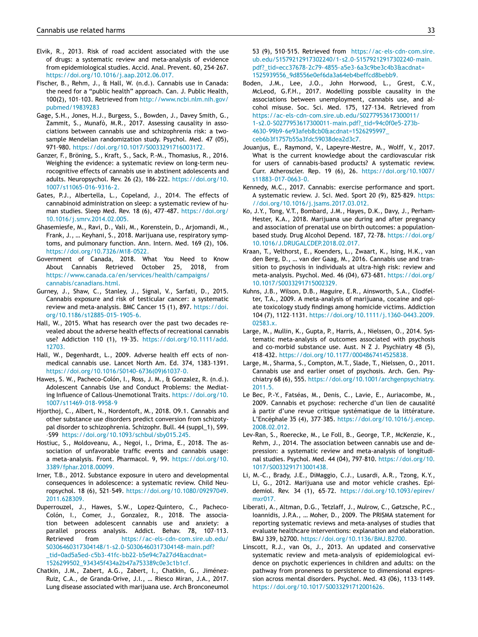- <span id="page-32-0"></span>Elvik, R., 2013. Risk of road accident associated with the use of drugs: a systematic review and meta-analysis of evidence from epidemiological studies. Accid. Anal. Prevent. 60, 254–267. [https://doi.org/10.1016/j.aap.2012.06.017.](https://doi.org/10.1016/j.aap.2012.06.017)
- Fischer, B., Rehm, J., & Hall, W. (n.d.). Cannabis use in Canada: the need for a "public health" approach. Can. J. Public Health, 100(2), 101–103. Retrieved from [http://www.ncbi.nlm.nih.gov/](http://www.ncbi.nlm.nih.gov/pubmed/19839283) pubmed/19839283
- Gage, S.H., Jones, H.J., Burgess, S., Bowden, J., Davey Smith, G., Zammit, S., Munafò, M.R., 2017. Assessing causality in associations between cannabis use and schizophrenia risk: a twosample Mendelian randomization study. Psychol. Med. 47 (05), 971–980. [https://doi.org/10.1017/S0033291716003172.](https://doi.org/10.1017/S0033291716003172)
- Ganzer, F., Bröning, S., Kraft, S., Sack, P.-M., Thomasius, R., 2016. Weighing the evidence: a systematic review on long-term neurocognitive effects of cannabis use in abstinent adolescents and adults. Neuropsychol. Rev. 26 (2), 186–222. https://doi.org/10. [1007/s11065-016-9316-2.](https://doi.org/10.1007/s11065-016-9316-2)
- Gates, P.J., Albertella, L., Copeland, J., 2014. The effects of cannabinoid administration on sleep: a systematic review of human studies. Sleep Med. Rev. 18 (6), 477–487. https://doi.org/ [10.1016/j.smrv.2014.02.005.](https://doi.org/10.1016/j.smrv.2014.02.005)
- Ghasemiesfe, M., Ravi, D., Vali, M., Korenstein, D., Arjomandi, M., Frank, J., … Keyhani, S., 2018. Marijuana use, respiratory symptoms, and pulmonary function. Ann. Intern. Med. 169 (2), 106. [https://doi.org/10.7326/M18-0522.](https://doi.org/10.7326/M18-0522)
- Government of Canada, 2018. What You Need to Know About Cannabis Retrieved October 25, 2018, from [https://www.canada.ca/en/services/health/campaigns/](https://www.canada.ca/en/services/health/campaigns/cannabis/canadians.html) cannabis/canadians.html.
- Gurney, J., Shaw, C., Stanley, J., Signal, V., Sarfati, D., 2015. Cannabis exposure and risk of testicular cancer: a systematic review and meta-analysis. BMC Cancer 15 (1), 897. https://doi. [org/10.1186/s12885-015-1905-6.](https://doi.org/10.1186/s12885-015-1905-6)
- Hall, W., 2015. What has research over the past two decades revealed about the adverse health effects of recreational cannabis use? Addiction 110 (1), 19–35. [https://doi.org/10.1111/add.](https://doi.org/10.1111/add.12703) 12703.
- Hall, W., Degenhardt, L., 2009. Adverse health eff ects of nonmedical cannabis use. Lancet North Am. Ed. 374, 1383–1391. [https://doi.org/10.1016/S0140-6736\(09\)61037-0.](https://doi.org/10.1016/S0140-6736(09)61037-0)
- Hawes, S. W., Pacheco-Colón, I., Ross, J. M., & Gonzalez, R. (n.d.). Adolescent Cannabis Use and Conduct Problems: the Mediating Influence of Callous-Unemotional Traits. https://doi.org/10. [1007/s11469-018-9958-9](https://doi.org/10.1007/s11469-018-9958-9)
- Hjorthoj, C., Albert, N., Nordentoft, M., 2018. O9.1. Cannabis and other substance use disorders predict conversion from schizotypal disorder to schizophrenia. Schizophr. Bull. 44 (suppl\_1), S99. –S99 [https://doi.org/10.1093/schbul/sby015.245.](https://doi.org/10.1093/schbul/sby015.245)
- Hostiuc, S., Moldoveanu, A., Negoi, I., Drima, E., 2018. The association of unfavorable traffic events and cannabis usage: a meta-analysis. Front. Pharmacol. 9, 99. https://doi.org/10. [3389/fphar.2018.00099.](https://doi.org/10.3389/fphar.2018.00099)
- Irner, T.B., 2012. Substance exposure in utero and developmental consequences in adolescence: a systematic review. Child Neuropsychol. 18 (6), 521–549. [https://doi.org/10.1080/09297049.](https://doi.org/10.1080/09297049.2011.628309) 2011.628309.
- Duperrouzel, J., Hawes, S.W., Lopez-Quintero, C., Pacheco-Colón, I., Comer, J., Gonzalez, R., 2018. The association between adolescent cannabis use and anxiety: a parallel process analysis. Addict. Behav. 78, 107–113. Retrieved from https://ac-els-cdn-com.sire.ub.edu/ [S0306460317304148/1-s2.0-S0306460317304148-main.pdf?](https://ac-els-cdn-com.sire.ub.edu/S0306460317304148/1-s2.0-S0306460317304148-main.pdf?_tid=0ad5a5ed-c5b3-41fc-bb22-b5e94c7a27d4&acdnat=1526299502_934345f434a2b47a753389c0e3c1b1cf) \_tid=0ad5a5ed-c5b3-41fc-bb22-b5e94c7a27d4&acdnat= 1526299502\_934345f434a2b47a753389c0e3c1b1cf.
- Chatkin, J.M., Zabert, A.G., Zabert, I., Chatkin, G., Jiménez-Ruiz, C.A., de Granda-Orive, J.I., … Riesco Miran, J.A., 2017. Lung disease associated with marijuana use. Arch Bronconeumol

53 (9), 510–515. Retrieved from https://ac-els-cdn-com.sire. [ub.edu/S1579212917302240/1-s2.0-S1579212917302240-main.](https://ac-els-cdn-com.sire.ub.edu/S1579212917302240/1-s2.0-S1579212917302240-main.pdf?_tid=ecc37678-2c79-4855-a5e3-6a3c9be3c4b3&acdnat=1525939556_9d8556e0ef6da3a64eb4beffcd8bebb9) pdf?\_tid=ecc37678-2c79-4855-a5e3-6a3c9be3c4b3&acdnat= 1525939556\_9d8556e0ef6da3a64eb4beffcd8bebb9.

- Boden, J.M., Lee, J.O., John Horwood, L., Grest, C.V., McLeod, G.F.H., 2017. Modelling possible causality in the associations between unemployment, cannabis use, and alcohol misuse. Soc. Sci. Med. 175, 127–134. Retrieved from https://ac-els-cdn-com.sire.ub.edu/S0277953617300011/ [1-s2.0-S0277953617300011-main.pdf?\\_tid=94c0f0e5-273b-](https://ac-els-cdn-com.sire.ub.edu/S0277953617300011/1-s2.0-S0277953617300011-main.pdf?_tid=94c0f0e5-273b-4630-99b9-6e93afeb8cb0&acdnat=1526295997_ceb6b3f1757b55a3fdc59038dea2d3c7)4630-99b9-6e93afeb8cb0&acdnat=1526295997\_ ceb6b3f1757b55a3fdc59038dea2d3c7.
- Jouanjus, E., Raymond, V., Lapeyre-Mestre, M., Wolff, V., 2017. What is the current knowledge about the cardiovascular risk for users of cannabis-based products? A systematic review. Curr. Atheroscler. Rep. 19 (6), 26. [https://doi.org/10.1007/](https://doi.org/10.1007/s11883-017-0663-0) s11883-017-0663-0.
- Kennedy, M.C., 2017. Cannabis: exercise performance and sport. A systematic review. J. Sci. Med. Sport 20 (9), 825–829. https: [//doi.org/10.1016/j.jsams.2017.03.012.](https://doi.org/10.1016/j.jsams.2017.03.012)
- Ko, J.Y., Tong, V.T., Bombard, J.M., Hayes, D.K., Davy, J., Perham-Hester, K.A., 2018. Marijuana use during and after pregnancy and association of prenatal use on birth outcomes: a populationbased study. Drug Alcohol Depend. 187, 72–78. https://doi.org/ [10.1016/J.DRUGALCDEP.2018.02.017.](https://doi.org/10.1016/J.DRUGALCDEP.2018.02.017)
- Kraan, T., Velthorst, E., Koenders, L., Zwaart, K., Ising, H.K., van den Berg, D., … van der Gaag, M., 2016. Cannabis use and transition to psychosis in individuals at ultra-high risk: review and meta-analysis. Psychol. Med. 46 (04), 673–681. https://doi.org/ [10.1017/S0033291715002329.](https://doi.org/10.1017/S0033291715002329)
- Kuhns, J.B., Wilson, D.B., Maguire, E.R., Ainsworth, S.A., Clodfelter, T.A., 2009. A meta-analysis of marijuana, cocaine and opiate toxicology study findings among homicide victims. Addiction 104 (7), 1122–1131. [https://doi.org/10.1111/j.1360-0443.2009.](https://doi.org/10.1111/j.1360-0443.2009.02583.x) 02583.x.
- Large, M., Mullin, K., Gupta, P., Harris, A., Nielssen, O., 2014. Systematic meta-analysis of outcomes associated with psychosis and co-morbid substance use. Aust. N Z J. Psychiatry 48 (5), 418–432. [https://doi.org/10.1177/0004867414525838.](https://doi.org/10.1177/0004867414525838)
- Large, M., Sharma, S., Compton, M.T., Slade, T., Nielssen, O., 2011. Cannabis use and earlier onset of psychosis. Arch. Gen. Psychiatry 68 (6), 555. [https://doi.org/10.1001/archgenpsychiatry.](https://doi.org/10.1001/archgenpsychiatry.2011.5) 2011.5.
- Le Bec, P.-Y., Fatséas, M., Denis, C., Lavie, E., Auriacombe, M., 2009. Cannabis et psychose: recherche d'un lien de causalité à partir d'une revue critique systématique de la littérature. L'Encéphale 35 (4), 377–385. [https://doi.org/10.1016/j.encep.](https://doi.org/10.1016/j.encep.2008.02.012) 2008.02.012.
- Lev-Ran, S., Roerecke, M., Le Foll, B., George, T.P., McKenzie, K., Rehm, J., 2014. The association between cannabis use and depression: a systematic review and meta-analysis of longitudinal studies. Psychol. Med. 44 (04), 797–810. https://doi.org/10. [1017/S0033291713001438.](https://doi.org/10.1017/S0033291713001438)
- Li, M.-C., Brady, J.E., DiMaggio, C.J., Lusardi, A.R., Tzong, K.Y., Li, G., 2012. Marijuana use and motor vehicle crashes. Epidemiol. Rev. 34 (1), 65–72. [https://doi.org/10.1093/epirev/](https://doi.org/10.1093/epirev/mxr017) mxr017.
- Liberati, A., Altman, D.G., Tetzlaff, J., Mulrow, C., Gøtzsche, P.C., Ioannidis, J.P.A., … Moher, D., 2009. The PRISMA statement for reporting systematic reviews and meta-analyses of studies that evaluate healthcare interventions: explanation and elaboration. BMJ 339, b2700. [https://doi.org/10.1136/BMJ.B2700.](https://doi.org/10.1136/BMJ.B2700)
- Linscott, R.J., van Os, J., 2013. An updated and conservative systematic review and meta-analysis of epidemiological evidence on psychotic experiences in children and adults: on the pathway from proneness to persistence to dimensional expression across mental disorders. Psychol. Med. 43 (06), 1133–1149. [https://doi.org/10.1017/S0033291712001626.](https://doi.org/10.1017/S0033291712001626)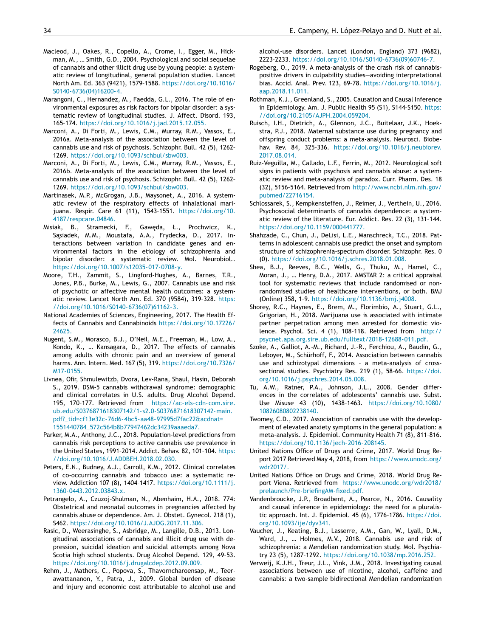- <span id="page-33-0"></span>Macleod, J., Oakes, R., Copello, A., Crome, I., Egger, M., Hickman, M., … Smith, G.D., 2004. Psychological and social sequelae of cannabis and other illicit drug use by young people: a systematic review of longitudinal, general population studies. Lancet North Am. Ed. 363 (9421), 1579–1588. [https://doi.org/10.1016/](https://doi.org/10.1016/S0140-6736(04)16200-4) S0140-6736(04)16200-4.
- Marangoni, C., Hernandez, M., Faedda, G.L., 2016. The role of environmental exposures as risk factors for bipolar disorder: a systematic review of longitudinal studies. J. Affect. Disord. 193, 165–174. [https://doi.org/10.1016/j.jad.2015.12.055.](https://doi.org/10.1016/j.jad.2015.12.055)
- Marconi, A., Di Forti, M., Lewis, C.M., Murray, R.M., Vassos, E., 2016a. Meta-analysis of the association between the level of cannabis use and risk of psychosis. Schizophr. Bull. 42 (5), 1262– 1269. [https://doi.org/10.1093/schbul/sbw003.](https://doi.org/10.1093/schbul/sbw003)
- Marconi, A., Di Forti, M., Lewis, C.M., Murray, R.M., Vassos, E., 2016b. Meta-analysis of the association between the level of cannabis use and risk of psychosis. Schizophr. Bull. 42 (5), 1262– 1269. [https://doi.org/10.1093/schbul/sbw003.](https://doi.org/10.1093/schbul/sbw003)
- Martinasek, M.P., McGrogan, J.B., Maysonet, A., 2016. A systematic review of the respiratory effects of inhalational marijuana. Respir. Care 61 (11), 1543–1551. https://doi.org/10. [4187/respcare.04846.](https://doi.org/10.4187/respcare.04846)
- Misiak, B., Stramecki, F., Gaweda, Ł., Prochwicz, K., Sąsiadek, M.M., Moustafa, A.A., Frydecka, D., 2017. Interactions between variation in candidate genes and environmental factors in the etiology of schizophrenia and bipolar disorder: a systematic review. Mol. Neurobiol.. [https://doi.org/10.1007/s12035-017-0708-y.](https://doi.org/10.1007/s12035-017-0708-y)
- Moore, T.H., Zammit, S., Lingford-Hughes, A., Barnes, T.R., Jones, P.B., Burke, M., Lewis, G., 2007. Cannabis use and risk of psychotic or affective mental health outcomes: a systematic review. Lancet North Am. Ed. 370 (9584), 319–328. https: [//doi.org/10.1016/S0140-6736\(07\)61162-3.](https://doi.org/10.1016/S0140-6736(07)61162-3)
- National Academies of Sciences, Engineering, 2017. The Health Effects of Cannabis and Cannabinoids [https://doi.org/10.17226/](https://doi.org/10.17226/24625) 24625.
- Nugent, S.M., Morasco, B.J., O'Neil, M.E., Freeman, M., Low, A., Kondo, K., … Kansagara, D., 2017. The effects of cannabis among adults with chronic pain and an overview of general harms. Ann. Intern. Med. 167 (5), 319. [https://doi.org/10.7326/](https://doi.org/10.7326/M17-0155) M17-0155.
- Livnea, Ofir, Shmulewitzb, Dvora, Lev-Rana, Shaul, Hasin, Deborah S., 2019. DSM-5 cannabis withdrawal syndrome: demographic and clinical correlates in U.S. adults. Drug Alcohol Depend. 195, 170–177. Retrieved from https://ac-els-cdn-com.sire. [ub.edu/S0376871618307142/1-s2.0-S0376871618307142-main.](https://ac-els-cdn-com.sire.ub.edu/S0376871618307142/1-s2.0-S0376871618307142-main.pdf?_tid=cf13e32c-76d6-4bc5-aa48-97995d7fac22&acdnat=1551440784_572c564b8b77947462dc34239aaaeda7) pdf?\_tid=cf13e32c-76d6-4bc5-aa48-97995d7fac22&acdnat= 1551440784\_572c564b8b77947462dc34239aaaeda7.
- Parker, M.A., Anthony, J.C., 2018. Population-level predictions from cannabis risk perceptions to active cannabis use prevalence in the United States, 1991–2014. Addict. Behav. 82, 101–104. https: [//doi.org/10.1016/J.ADDBEH.2018.02.030.](https://doi.org/10.1016/J.ADDBEH.2018.02.030)
- Peters, E.N., Budney, A.J., Carroll, K.M., 2012. Clinical correlates of co-occurring cannabis and tobacco use: a systematic review. Addiction 107 (8), 1404–1417. [https://doi.org/10.1111/j.](https://doi.org/10.1111/j.1360-0443.2012.03843.x) 1360-0443.2012.03843.x.
- Petrangelo, A., Czuzoj-Shulman, N., Abenhaim, H.A., 2018. 774: Obstetrical and neonatal outcomes in pregnancies affected by cannabis abuse or dependence. Am. J. Obstet. Gynecol. 218 (1), S462. [https://doi.org/10.1016/J.AJOG.2017.11.306.](https://doi.org/10.1016/J.AJOG.2017.11.306)
- Rasic, D., Weerasinghe, S., Asbridge, M., Langille, D.B., 2013. Longitudinal associations of cannabis and illicit drug use with depression, suicidal ideation and suicidal attempts among Nova Scotia high school students. Drug Alcohol Depend. 129, 49–53. [https://doi.org/10.1016/j.drugalcdep.2012.09.009.](https://doi.org/10.1016/j.drugalcdep.2012.09.009)
- Rehm, J., Mathers, C., Popova, S., Thavorncharoensap, M., Teerawattananon, Y., Patra, J., 2009. Global burden of disease and injury and economic cost attributable to alcohol use and

alcohol-use disorders. Lancet (London, England) 373 (9682), 2223–2233. [https://doi.org/10.1016/S0140-6736\(09\)60746-7.](https://doi.org/10.1016/S0140-6736(09)60746-7)

- Rogeberg, O., 2019. A meta-analysis of the crash risk of cannabispositive drivers in culpability studies—avoiding interpretational bias. Accid. Anal. Prev. 123, 69–78. [https://doi.org/10.1016/j.](https://doi.org/10.1016/j.aap.2018.11.011) aap.2018.11.011.
- Rothman, K.J., Greenland, S., 2005. Causation and Causal Inference in Epidemiology. Am. J. Public Health 95 (S1), S144–S150. https: [//doi.org/10.2105/AJPH.2004.059204.](https://doi.org/10.2105/AJPH.2004.059204)
- Ruisch, I.H., Dietrich, A., Glennon, J.C., Buitelaar, J.K., Hoekstra, P.J., 2018. Maternal substance use during pregnancy and offspring conduct problems: a meta-analysis. Neurosci. Biobehav. Rev. 84, 325–336. [https://doi.org/10.1016/j.neubiorev.](https://doi.org/10.1016/j.neubiorev.2017.08.014) 2017.08.014.
- Ruiz-Veguilla, M., Callado, L.F., Ferrin, M., 2012. Neurological soft signs in patients with psychosis and cannabis abuse: a systematic review and meta-analysis of paradox. Curr. Pharm. Des. 18 (32), 5156–5164. Retrieved from [http://www.ncbi.nlm.nih.gov/](http://www.ncbi.nlm.nih.gov/pubmed/22716154) pubmed/22716154.
- Schlossarek, S., Kempkensteffen, J., Reimer, J., Verthein, U., 2016. Psychosocial determinants of cannabis dependence: a systematic review of the literature. Eur. Addict. Res. 22 (3), 131–144. [https://doi.org/10.1159/000441777.](https://doi.org/10.1159/000441777)
- Shahzade, C., Chun, J., DeLisi, L.E., Manschreck, T.C., 2018. Patterns in adolescent cannabis use predict the onset and symptom structure of schizophrenia-spectrum disorder. Schizophr. Res. 0 (0). [https://doi.org/10.1016/j.schres.2018.01.008.](https://doi.org/10.1016/j.schres.2018.01.008)
- Shea, B.J., Reeves, B.C., Wells, G., Thuku, M., Hamel, C., Moran, J., … Henry, D.A., 2017. AMSTAR 2: a critical appraisal tool for systematic reviews that include randomised or nonrandomised studies of healthcare interventions, or both. BMJ (Online) 358, 1–9. [https://doi.org/10.1136/bmj.j4008.](https://doi.org/10.1136/bmj.j4008)
- Shorey, R.C., Haynes, E., Brem, M., Florimbio, A., Stuart, G.L., Grigorian, H., 2018. Marijuana use is associated with intimate partner perpetration among men arrested for domestic violence. Psychol. Sci. 4 (1), 108–118. Retrieved from http:// [psycnet.apa.org.sire.ub.edu/fulltext/2018-12688-011.pdf.](http://psycnet.apa.org.sire.ub.edu/fulltext/2018-12688-011.pdf)
- Szoke, A., Galliot, A.-M., Richard, J.-R., Ferchiou, A., Baudin, G., Leboyer, M., Schürhoff, F., 2014. Association between cannabis use and schizotypal dimensions – a meta-analysis of crosssectional studies. Psychiatry Res. 219 (1), 58–66. https://doi. [org/10.1016/j.psychres.2014.05.008.](https://doi.org/10.1016/j.psychres.2014.05.008)
- Tu, A.W., Ratner, P.A., Johnson, J.L., 2008. Gender differences in the correlates of adolescents' cannabis use. Subst. Use Misuse 43 (10), 1438–1463. [https://doi.org/10.1080/](https://doi.org/10.1080/10826080802238140) 10826080802238140.
- Twomey, C.D., 2017. Association of cannabis use with the development of elevated anxiety symptoms in the general population: a meta-analysis. J. Epidemiol. Community Health 71 (8), 811–816. [https://doi.org/10.1136/jech-2016-208145.](https://doi.org/10.1136/jech-2016-208145)
- United Nations Office of Drugs and Crime, 2017. World Drug Report 2017 Retrieved May 4, 2018, from [https://www.unodc.org/](https://www.unodc.org/wdr2017/) wdr2017/.
- United Nations Office on Drugs and Crime, 2018. World Drug Report Viena. Retrieved from https://www.unodc.org/wdr2018/ [prelaunch/Pre-briefingAM-fixed.pdf.](https://www.unodc.org/wdr2018/prelaunch/Pre-briefingAM-fixed.pdf)
- Vandenbroucke, J.P., Broadbent, A., Pearce, N., 2016. Causality and causal inference in epidemiology: the need for a pluralistic approach. Int. J. Epidemiol. 45 (6), 1776–1786. https://doi. [org/10.1093/ije/dyv341.](https://doi.org/10.1093/ije/dyv341)
- Vaucher, J., Keating, B.J., Lasserre, A.M., Gan, W., Lyall, D.M., Ward, J., … Holmes, M.V., 2018. Cannabis use and risk of schizophrenia: a Mendelian randomization study. Mol. Psychiatry 23 (5), 1287–1292. [https://doi.org/10.1038/mp.2016.252.](https://doi.org/10.1038/mp.2016.252)
- Verweij, K.J.H., Treur, J.L., Vink, J.M., 2018. Investigating causal associations between use of nicotine, alcohol, caffeine and cannabis: a two-sample bidirectional Mendelian randomization